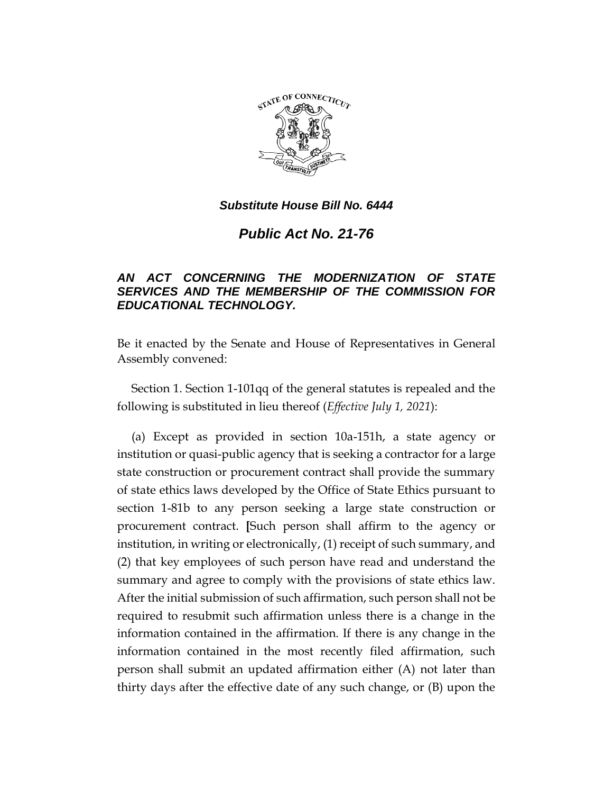

*Public Act No. 21-76*

# *AN ACT CONCERNING THE MODERNIZATION OF STATE SERVICES AND THE MEMBERSHIP OF THE COMMISSION FOR EDUCATIONAL TECHNOLOGY.*

Be it enacted by the Senate and House of Representatives in General Assembly convened:

Section 1. Section 1-101qq of the general statutes is repealed and the following is substituted in lieu thereof (*Effective July 1, 2021*):

(a) Except as provided in section 10a-151h, a state agency or institution or quasi-public agency that is seeking a contractor for a large state construction or procurement contract shall provide the summary of state ethics laws developed by the Office of State Ethics pursuant to section 1-81b to any person seeking a large state construction or procurement contract. **[**Such person shall affirm to the agency or institution, in writing or electronically, (1) receipt of such summary, and (2) that key employees of such person have read and understand the summary and agree to comply with the provisions of state ethics law. After the initial submission of such affirmation, such person shall not be required to resubmit such affirmation unless there is a change in the information contained in the affirmation. If there is any change in the information contained in the most recently filed affirmation, such person shall submit an updated affirmation either (A) not later than thirty days after the effective date of any such change, or (B) upon the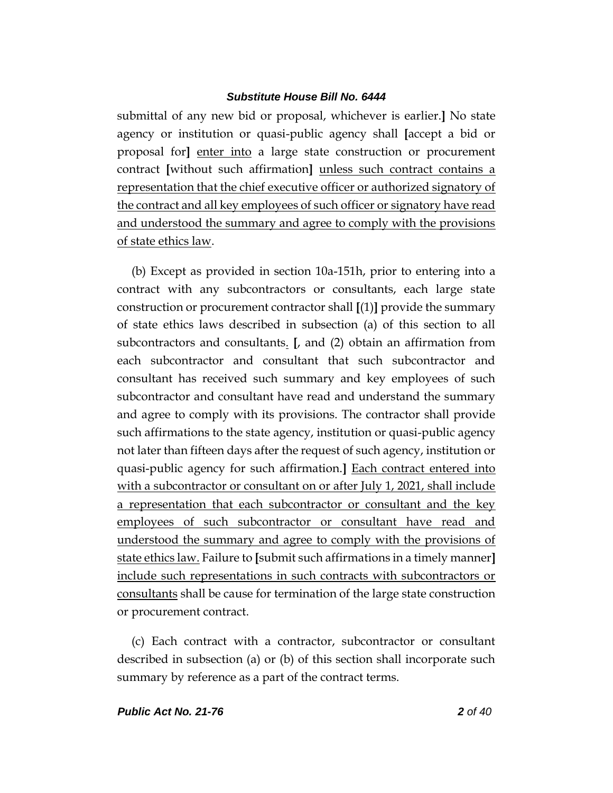submittal of any new bid or proposal, whichever is earlier.**]** No state agency or institution or quasi-public agency shall **[**accept a bid or proposal for**]** enter into a large state construction or procurement contract **[**without such affirmation**]** unless such contract contains a representation that the chief executive officer or authorized signatory of the contract and all key employees of such officer or signatory have read and understood the summary and agree to comply with the provisions of state ethics law.

(b) Except as provided in section 10a-151h, prior to entering into a contract with any subcontractors or consultants, each large state construction or procurement contractor shall **[**(1)**]** provide the summary of state ethics laws described in subsection (a) of this section to all subcontractors and consultants. **[**, and (2) obtain an affirmation from each subcontractor and consultant that such subcontractor and consultant has received such summary and key employees of such subcontractor and consultant have read and understand the summary and agree to comply with its provisions. The contractor shall provide such affirmations to the state agency, institution or quasi-public agency not later than fifteen days after the request of such agency, institution or quasi-public agency for such affirmation.**]** Each contract entered into with a subcontractor or consultant on or after July 1, 2021, shall include a representation that each subcontractor or consultant and the key employees of such subcontractor or consultant have read and understood the summary and agree to comply with the provisions of state ethics law. Failure to **[**submit such affirmations in a timely manner**]** include such representations in such contracts with subcontractors or consultants shall be cause for termination of the large state construction or procurement contract.

(c) Each contract with a contractor, subcontractor or consultant described in subsection (a) or (b) of this section shall incorporate such summary by reference as a part of the contract terms.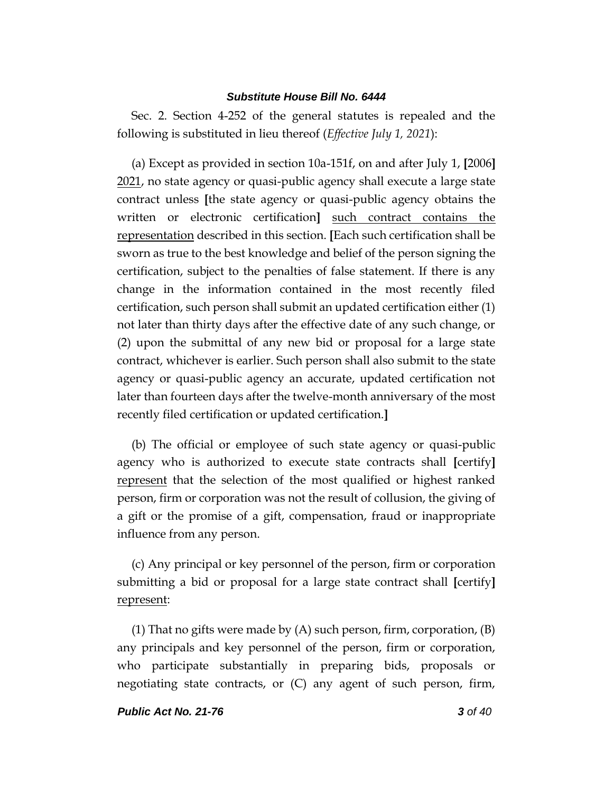Sec. 2. Section 4-252 of the general statutes is repealed and the following is substituted in lieu thereof (*Effective July 1, 2021*):

(a) Except as provided in section 10a-151f, on and after July 1, **[**2006**]** 2021, no state agency or quasi-public agency shall execute a large state contract unless **[**the state agency or quasi-public agency obtains the written or electronic certification**]** such contract contains the representation described in this section. **[**Each such certification shall be sworn as true to the best knowledge and belief of the person signing the certification, subject to the penalties of false statement. If there is any change in the information contained in the most recently filed certification, such person shall submit an updated certification either (1) not later than thirty days after the effective date of any such change, or (2) upon the submittal of any new bid or proposal for a large state contract, whichever is earlier. Such person shall also submit to the state agency or quasi-public agency an accurate, updated certification not later than fourteen days after the twelve-month anniversary of the most recently filed certification or updated certification.**]**

(b) The official or employee of such state agency or quasi-public agency who is authorized to execute state contracts shall **[**certify**]** represent that the selection of the most qualified or highest ranked person, firm or corporation was not the result of collusion, the giving of a gift or the promise of a gift, compensation, fraud or inappropriate influence from any person.

(c) Any principal or key personnel of the person, firm or corporation submitting a bid or proposal for a large state contract shall **[**certify**]** represent:

(1) That no gifts were made by (A) such person, firm, corporation, (B) any principals and key personnel of the person, firm or corporation, who participate substantially in preparing bids, proposals or negotiating state contracts, or (C) any agent of such person, firm,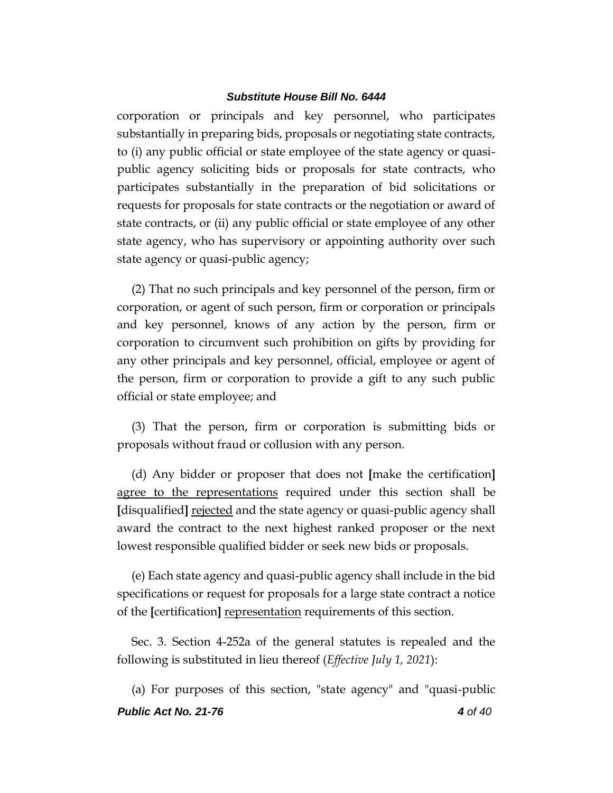corporation or principals and key personnel, who participates substantially in preparing bids, proposals or negotiating state contracts, to (i) any public official or state employee of the state agency or quasipublic agency soliciting bids or proposals for state contracts, who participates substantially in the preparation of bid solicitations or requests for proposals for state contracts or the negotiation or award of state contracts, or (ii) any public official or state employee of any other state agency, who has supervisory or appointing authority over such state agency or quasi-public agency;

(2) That no such principals and key personnel of the person, firm or corporation, or agent of such person, firm or corporation or principals and key personnel, knows of any action by the person, firm or corporation to circumvent such prohibition on gifts by providing for any other principals and key personnel, official, employee or agent of the person, firm or corporation to provide a gift to any such public official or state employee; and

(3) That the person, firm or corporation is submitting bids or proposals without fraud or collusion with any person.

(d) Any bidder or proposer that does not **[**make the certification**]** agree to the representations required under this section shall be **[**disqualified**]** rejected and the state agency or quasi-public agency shall award the contract to the next highest ranked proposer or the next lowest responsible qualified bidder or seek new bids or proposals.

(e) Each state agency and quasi-public agency shall include in the bid specifications or request for proposals for a large state contract a notice of the **[**certification**]** representation requirements of this section.

Sec. 3. Section 4-252a of the general statutes is repealed and the following is substituted in lieu thereof (*Effective July 1, 2021*):

*Public Act No. 21-76 4 of 40* (a) For purposes of this section, "state agency" and "quasi-public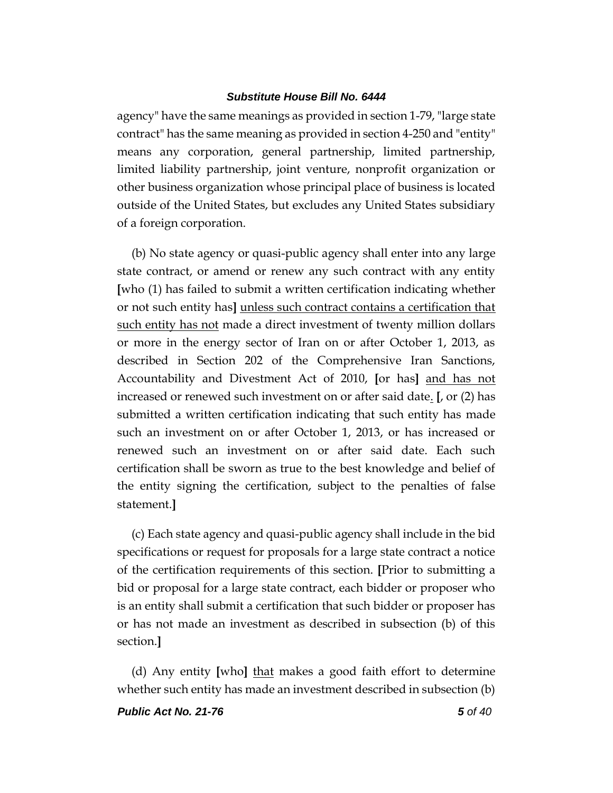agency" have the same meanings as provided in section 1-79, "large state contract" has the same meaning as provided in section 4-250 and "entity" means any corporation, general partnership, limited partnership, limited liability partnership, joint venture, nonprofit organization or other business organization whose principal place of business is located outside of the United States, but excludes any United States subsidiary of a foreign corporation.

(b) No state agency or quasi-public agency shall enter into any large state contract, or amend or renew any such contract with any entity **[**who (1) has failed to submit a written certification indicating whether or not such entity has**]** unless such contract contains a certification that such entity has not made a direct investment of twenty million dollars or more in the energy sector of Iran on or after October 1, 2013, as described in Section 202 of the Comprehensive Iran Sanctions, Accountability and Divestment Act of 2010, **[**or has**]** and has not increased or renewed such investment on or after said date. **[**, or (2) has submitted a written certification indicating that such entity has made such an investment on or after October 1, 2013, or has increased or renewed such an investment on or after said date. Each such certification shall be sworn as true to the best knowledge and belief of the entity signing the certification, subject to the penalties of false statement.**]**

(c) Each state agency and quasi-public agency shall include in the bid specifications or request for proposals for a large state contract a notice of the certification requirements of this section. **[**Prior to submitting a bid or proposal for a large state contract, each bidder or proposer who is an entity shall submit a certification that such bidder or proposer has or has not made an investment as described in subsection (b) of this section.**]**

(d) Any entity **[**who**]** that makes a good faith effort to determine whether such entity has made an investment described in subsection (b)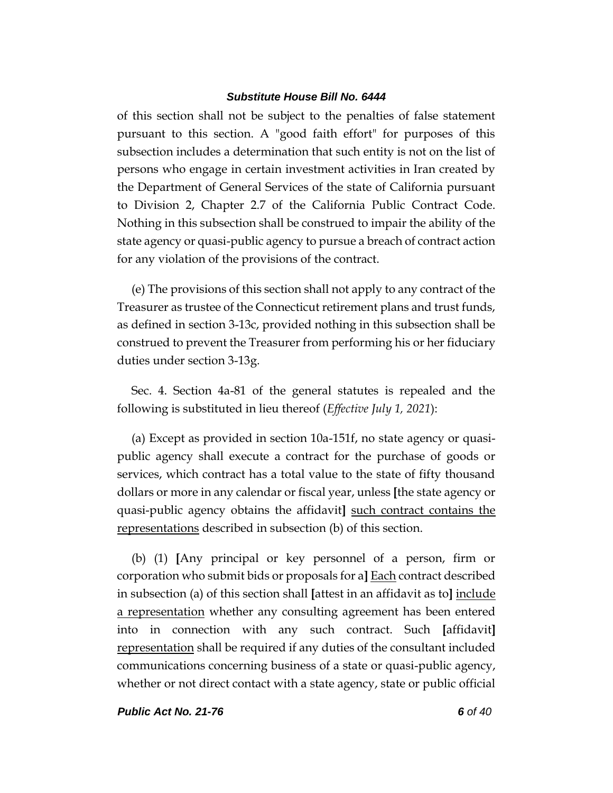of this section shall not be subject to the penalties of false statement pursuant to this section. A "good faith effort" for purposes of this subsection includes a determination that such entity is not on the list of persons who engage in certain investment activities in Iran created by the Department of General Services of the state of California pursuant to Division 2, Chapter 2.7 of the California Public Contract Code. Nothing in this subsection shall be construed to impair the ability of the state agency or quasi-public agency to pursue a breach of contract action for any violation of the provisions of the contract.

(e) The provisions of this section shall not apply to any contract of the Treasurer as trustee of the Connecticut retirement plans and trust funds, as defined in section 3-13c, provided nothing in this subsection shall be construed to prevent the Treasurer from performing his or her fiduciary duties under section 3-13g.

Sec. 4. Section 4a-81 of the general statutes is repealed and the following is substituted in lieu thereof (*Effective July 1, 2021*):

(a) Except as provided in section 10a-151f, no state agency or quasipublic agency shall execute a contract for the purchase of goods or services, which contract has a total value to the state of fifty thousand dollars or more in any calendar or fiscal year, unless **[**the state agency or quasi-public agency obtains the affidavit**]** such contract contains the representations described in subsection (b) of this section.

(b) (1) **[**Any principal or key personnel of a person, firm or corporation who submit bids or proposals for a**]** Each contract described in subsection (a) of this section shall **[**attest in an affidavit as to**]** include a representation whether any consulting agreement has been entered into in connection with any such contract. Such **[**affidavit**]** representation shall be required if any duties of the consultant included communications concerning business of a state or quasi-public agency, whether or not direct contact with a state agency, state or public official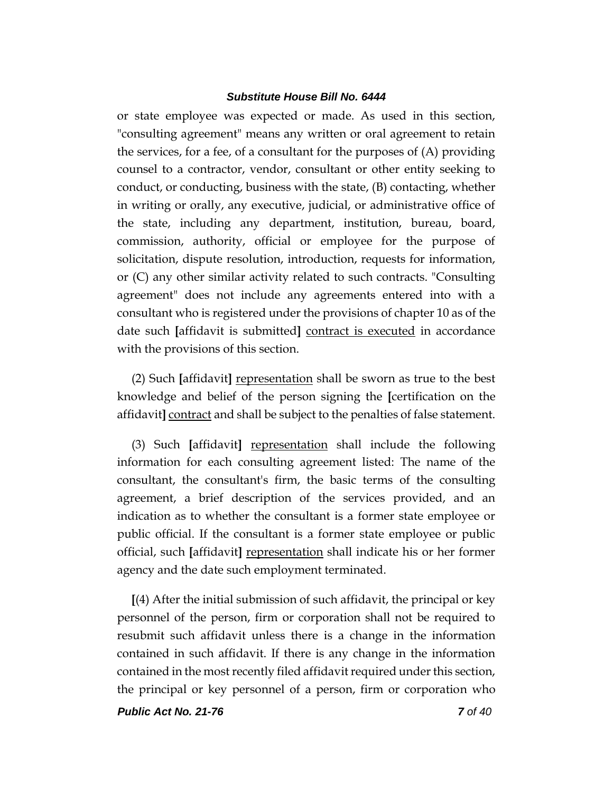or state employee was expected or made. As used in this section, "consulting agreement" means any written or oral agreement to retain the services, for a fee, of a consultant for the purposes of (A) providing counsel to a contractor, vendor, consultant or other entity seeking to conduct, or conducting, business with the state, (B) contacting, whether in writing or orally, any executive, judicial, or administrative office of the state, including any department, institution, bureau, board, commission, authority, official or employee for the purpose of solicitation, dispute resolution, introduction, requests for information, or (C) any other similar activity related to such contracts. "Consulting agreement" does not include any agreements entered into with a consultant who is registered under the provisions of chapter 10 as of the date such **[**affidavit is submitted**]** contract is executed in accordance with the provisions of this section.

(2) Such **[**affidavit**]** representation shall be sworn as true to the best knowledge and belief of the person signing the **[**certification on the affidavit**]** contract and shall be subject to the penalties of false statement.

(3) Such **[**affidavit**]** representation shall include the following information for each consulting agreement listed: The name of the consultant, the consultant's firm, the basic terms of the consulting agreement, a brief description of the services provided, and an indication as to whether the consultant is a former state employee or public official. If the consultant is a former state employee or public official, such **[**affidavit**]** representation shall indicate his or her former agency and the date such employment terminated.

**[**(4) After the initial submission of such affidavit, the principal or key personnel of the person, firm or corporation shall not be required to resubmit such affidavit unless there is a change in the information contained in such affidavit. If there is any change in the information contained in the most recently filed affidavit required under this section, the principal or key personnel of a person, firm or corporation who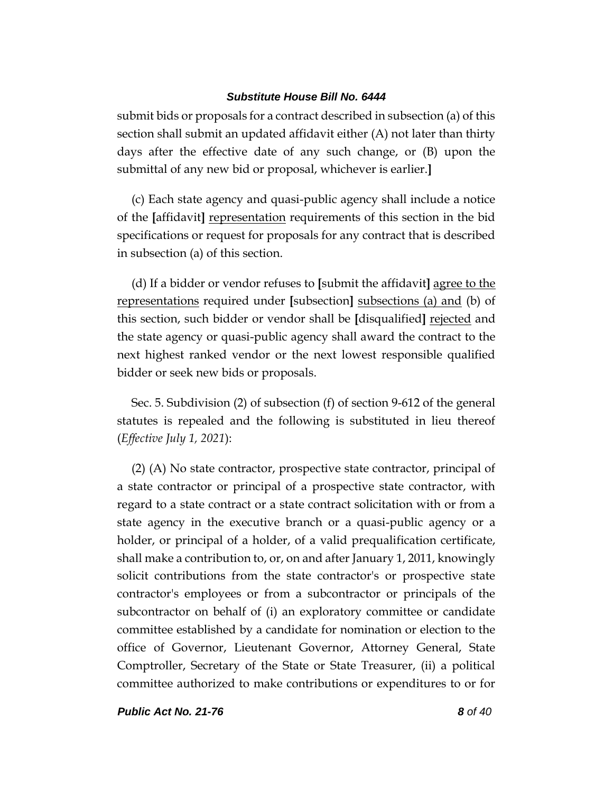submit bids or proposals for a contract described in subsection (a) of this section shall submit an updated affidavit either (A) not later than thirty days after the effective date of any such change, or (B) upon the submittal of any new bid or proposal, whichever is earlier.**]**

(c) Each state agency and quasi-public agency shall include a notice of the **[**affidavit**]** representation requirements of this section in the bid specifications or request for proposals for any contract that is described in subsection (a) of this section.

(d) If a bidder or vendor refuses to **[**submit the affidavit**]** agree to the representations required under **[**subsection**]** subsections (a) and (b) of this section, such bidder or vendor shall be **[**disqualified**]** rejected and the state agency or quasi-public agency shall award the contract to the next highest ranked vendor or the next lowest responsible qualified bidder or seek new bids or proposals.

Sec. 5. Subdivision (2) of subsection (f) of section 9-612 of the general statutes is repealed and the following is substituted in lieu thereof (*Effective July 1, 2021*):

(2) (A) No state contractor, prospective state contractor, principal of a state contractor or principal of a prospective state contractor, with regard to a state contract or a state contract solicitation with or from a state agency in the executive branch or a quasi-public agency or a holder, or principal of a holder, of a valid prequalification certificate, shall make a contribution to, or, on and after January 1, 2011, knowingly solicit contributions from the state contractor's or prospective state contractor's employees or from a subcontractor or principals of the subcontractor on behalf of (i) an exploratory committee or candidate committee established by a candidate for nomination or election to the office of Governor, Lieutenant Governor, Attorney General, State Comptroller, Secretary of the State or State Treasurer, (ii) a political committee authorized to make contributions or expenditures to or for

*Public Act No. 21-76 8 of 40*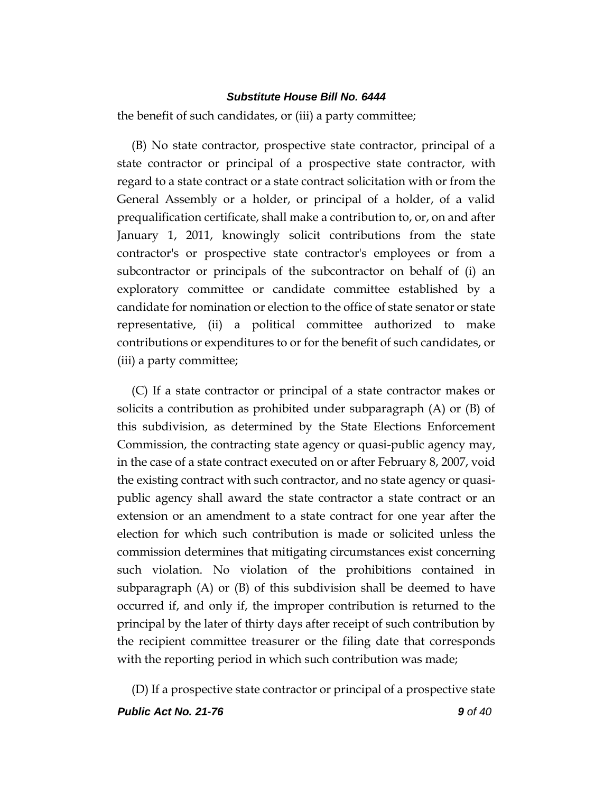the benefit of such candidates, or (iii) a party committee;

(B) No state contractor, prospective state contractor, principal of a state contractor or principal of a prospective state contractor, with regard to a state contract or a state contract solicitation with or from the General Assembly or a holder, or principal of a holder, of a valid prequalification certificate, shall make a contribution to, or, on and after January 1, 2011, knowingly solicit contributions from the state contractor's or prospective state contractor's employees or from a subcontractor or principals of the subcontractor on behalf of (i) an exploratory committee or candidate committee established by a candidate for nomination or election to the office of state senator or state representative, (ii) a political committee authorized to make contributions or expenditures to or for the benefit of such candidates, or (iii) a party committee;

(C) If a state contractor or principal of a state contractor makes or solicits a contribution as prohibited under subparagraph (A) or (B) of this subdivision, as determined by the State Elections Enforcement Commission, the contracting state agency or quasi-public agency may, in the case of a state contract executed on or after February 8, 2007, void the existing contract with such contractor, and no state agency or quasipublic agency shall award the state contractor a state contract or an extension or an amendment to a state contract for one year after the election for which such contribution is made or solicited unless the commission determines that mitigating circumstances exist concerning such violation. No violation of the prohibitions contained in subparagraph (A) or (B) of this subdivision shall be deemed to have occurred if, and only if, the improper contribution is returned to the principal by the later of thirty days after receipt of such contribution by the recipient committee treasurer or the filing date that corresponds with the reporting period in which such contribution was made;

(D) If a prospective state contractor or principal of a prospective state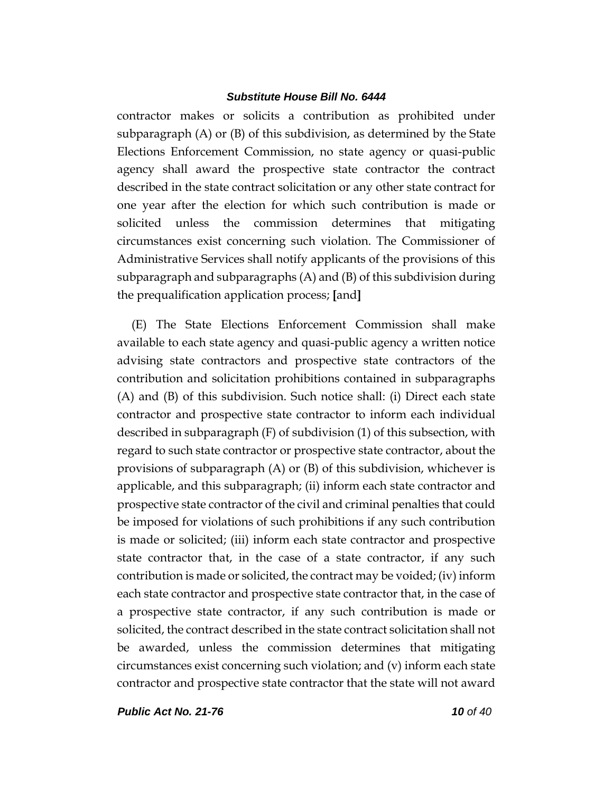contractor makes or solicits a contribution as prohibited under subparagraph (A) or (B) of this subdivision, as determined by the State Elections Enforcement Commission, no state agency or quasi-public agency shall award the prospective state contractor the contract described in the state contract solicitation or any other state contract for one year after the election for which such contribution is made or solicited unless the commission determines that mitigating circumstances exist concerning such violation. The Commissioner of Administrative Services shall notify applicants of the provisions of this subparagraph and subparagraphs (A) and (B) of this subdivision during the prequalification application process; **[**and**]**

(E) The State Elections Enforcement Commission shall make available to each state agency and quasi-public agency a written notice advising state contractors and prospective state contractors of the contribution and solicitation prohibitions contained in subparagraphs (A) and (B) of this subdivision. Such notice shall: (i) Direct each state contractor and prospective state contractor to inform each individual described in subparagraph (F) of subdivision (1) of this subsection, with regard to such state contractor or prospective state contractor, about the provisions of subparagraph (A) or (B) of this subdivision, whichever is applicable, and this subparagraph; (ii) inform each state contractor and prospective state contractor of the civil and criminal penalties that could be imposed for violations of such prohibitions if any such contribution is made or solicited; (iii) inform each state contractor and prospective state contractor that, in the case of a state contractor, if any such contribution is made or solicited, the contract may be voided; (iv) inform each state contractor and prospective state contractor that, in the case of a prospective state contractor, if any such contribution is made or solicited, the contract described in the state contract solicitation shall not be awarded, unless the commission determines that mitigating circumstances exist concerning such violation; and (v) inform each state contractor and prospective state contractor that the state will not award

*Public Act No. 21-76 10 of 40*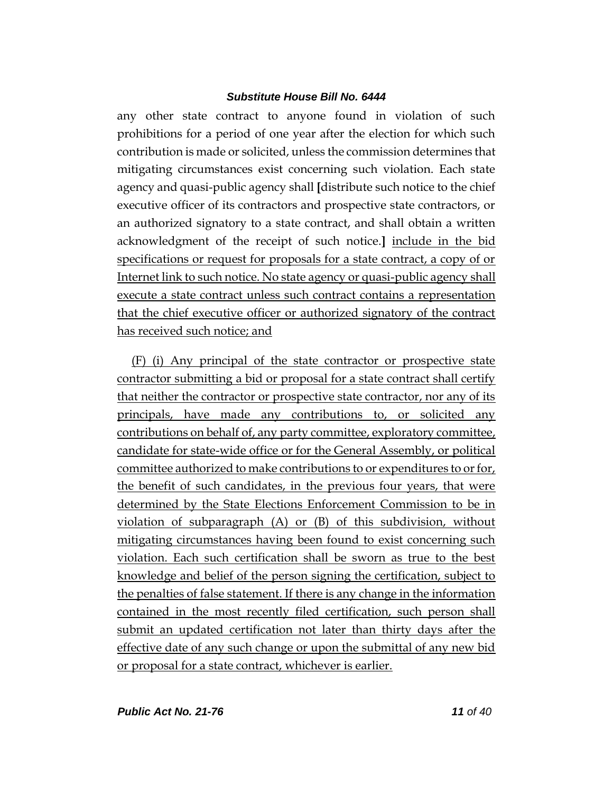any other state contract to anyone found in violation of such prohibitions for a period of one year after the election for which such contribution is made or solicited, unless the commission determines that mitigating circumstances exist concerning such violation. Each state agency and quasi-public agency shall **[**distribute such notice to the chief executive officer of its contractors and prospective state contractors, or an authorized signatory to a state contract, and shall obtain a written acknowledgment of the receipt of such notice.**]** include in the bid specifications or request for proposals for a state contract, a copy of or Internet link to such notice. No state agency or quasi-public agency shall execute a state contract unless such contract contains a representation that the chief executive officer or authorized signatory of the contract has received such notice; and

(F) (i) Any principal of the state contractor or prospective state contractor submitting a bid or proposal for a state contract shall certify that neither the contractor or prospective state contractor, nor any of its principals, have made any contributions to, or solicited any contributions on behalf of, any party committee, exploratory committee, candidate for state-wide office or for the General Assembly, or political committee authorized to make contributions to or expenditures to or for, the benefit of such candidates, in the previous four years, that were determined by the State Elections Enforcement Commission to be in violation of subparagraph (A) or (B) of this subdivision, without mitigating circumstances having been found to exist concerning such violation. Each such certification shall be sworn as true to the best knowledge and belief of the person signing the certification, subject to the penalties of false statement. If there is any change in the information contained in the most recently filed certification, such person shall submit an updated certification not later than thirty days after the effective date of any such change or upon the submittal of any new bid or proposal for a state contract, whichever is earlier.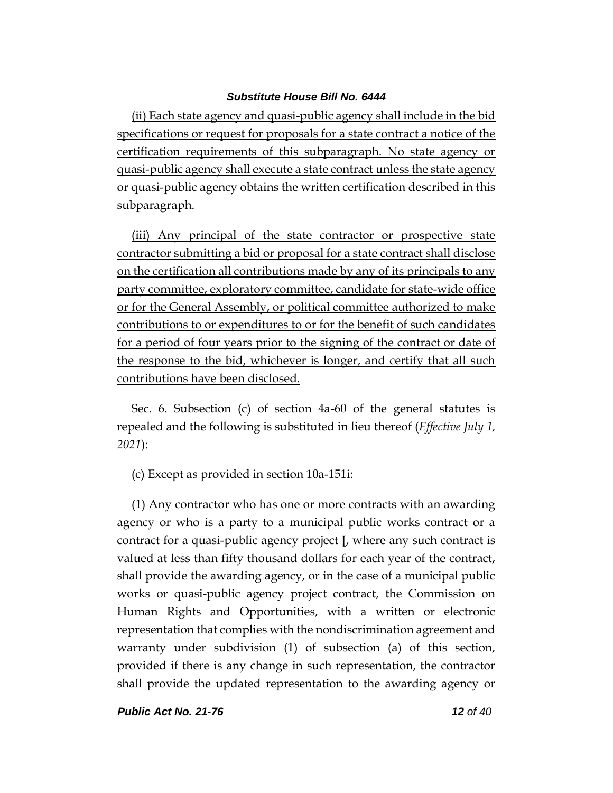(ii) Each state agency and quasi-public agency shall include in the bid specifications or request for proposals for a state contract a notice of the certification requirements of this subparagraph. No state agency or quasi-public agency shall execute a state contract unless the state agency or quasi-public agency obtains the written certification described in this subparagraph.

(iii) Any principal of the state contractor or prospective state contractor submitting a bid or proposal for a state contract shall disclose on the certification all contributions made by any of its principals to any party committee, exploratory committee, candidate for state-wide office or for the General Assembly, or political committee authorized to make contributions to or expenditures to or for the benefit of such candidates for a period of four years prior to the signing of the contract or date of the response to the bid, whichever is longer, and certify that all such contributions have been disclosed.

Sec. 6. Subsection (c) of section 4a-60 of the general statutes is repealed and the following is substituted in lieu thereof (*Effective July 1, 2021*):

(c) Except as provided in section 10a-151i:

(1) Any contractor who has one or more contracts with an awarding agency or who is a party to a municipal public works contract or a contract for a quasi-public agency project **[**, where any such contract is valued at less than fifty thousand dollars for each year of the contract, shall provide the awarding agency, or in the case of a municipal public works or quasi-public agency project contract, the Commission on Human Rights and Opportunities, with a written or electronic representation that complies with the nondiscrimination agreement and warranty under subdivision (1) of subsection (a) of this section, provided if there is any change in such representation, the contractor shall provide the updated representation to the awarding agency or

*Public Act No. 21-76 12 of 40*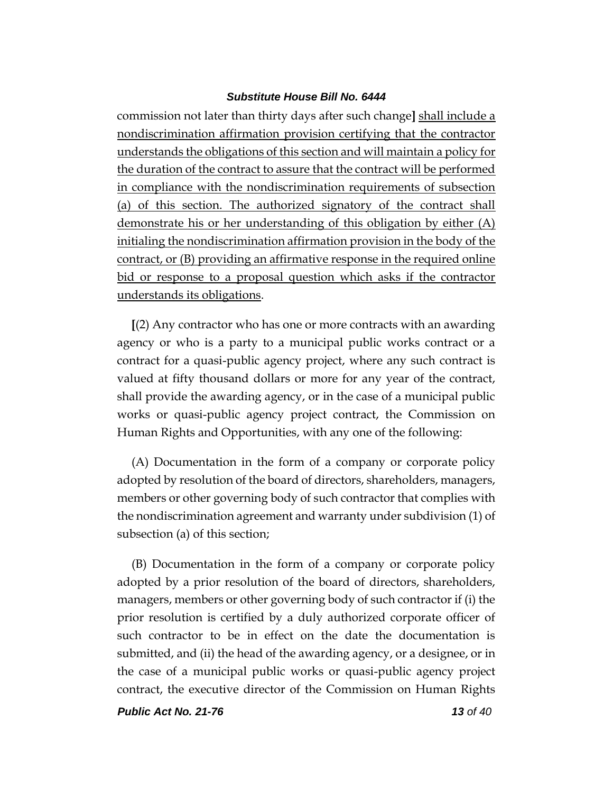commission not later than thirty days after such change**]** shall include a nondiscrimination affirmation provision certifying that the contractor understands the obligations of this section and will maintain a policy for the duration of the contract to assure that the contract will be performed in compliance with the nondiscrimination requirements of subsection (a) of this section. The authorized signatory of the contract shall demonstrate his or her understanding of this obligation by either (A) initialing the nondiscrimination affirmation provision in the body of the contract, or (B) providing an affirmative response in the required online bid or response to a proposal question which asks if the contractor understands its obligations.

**[**(2) Any contractor who has one or more contracts with an awarding agency or who is a party to a municipal public works contract or a contract for a quasi-public agency project, where any such contract is valued at fifty thousand dollars or more for any year of the contract, shall provide the awarding agency, or in the case of a municipal public works or quasi-public agency project contract, the Commission on Human Rights and Opportunities, with any one of the following:

(A) Documentation in the form of a company or corporate policy adopted by resolution of the board of directors, shareholders, managers, members or other governing body of such contractor that complies with the nondiscrimination agreement and warranty under subdivision (1) of subsection (a) of this section;

(B) Documentation in the form of a company or corporate policy adopted by a prior resolution of the board of directors, shareholders, managers, members or other governing body of such contractor if (i) the prior resolution is certified by a duly authorized corporate officer of such contractor to be in effect on the date the documentation is submitted, and (ii) the head of the awarding agency, or a designee, or in the case of a municipal public works or quasi-public agency project contract, the executive director of the Commission on Human Rights

*Public Act No. 21-76 13 of 40*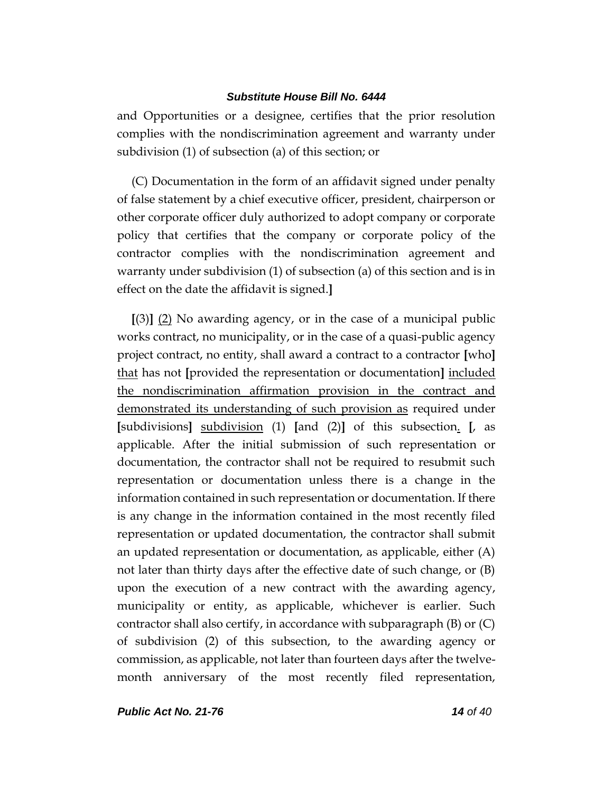and Opportunities or a designee, certifies that the prior resolution complies with the nondiscrimination agreement and warranty under subdivision (1) of subsection (a) of this section; or

(C) Documentation in the form of an affidavit signed under penalty of false statement by a chief executive officer, president, chairperson or other corporate officer duly authorized to adopt company or corporate policy that certifies that the company or corporate policy of the contractor complies with the nondiscrimination agreement and warranty under subdivision (1) of subsection (a) of this section and is in effect on the date the affidavit is signed.**]**

**[**(3)**]** (2) No awarding agency, or in the case of a municipal public works contract, no municipality, or in the case of a quasi-public agency project contract, no entity, shall award a contract to a contractor **[**who**]** that has not **[**provided the representation or documentation**]** included the nondiscrimination affirmation provision in the contract and demonstrated its understanding of such provision as required under **[**subdivisions**]** subdivision (1) **[**and (2)**]** of this subsection. **[**, as applicable. After the initial submission of such representation or documentation, the contractor shall not be required to resubmit such representation or documentation unless there is a change in the information contained in such representation or documentation. If there is any change in the information contained in the most recently filed representation or updated documentation, the contractor shall submit an updated representation or documentation, as applicable, either (A) not later than thirty days after the effective date of such change, or (B) upon the execution of a new contract with the awarding agency, municipality or entity, as applicable, whichever is earlier. Such contractor shall also certify, in accordance with subparagraph  $(B)$  or  $(C)$ of subdivision (2) of this subsection, to the awarding agency or commission, as applicable, not later than fourteen days after the twelvemonth anniversary of the most recently filed representation,

*Public Act No. 21-76 14 of 40*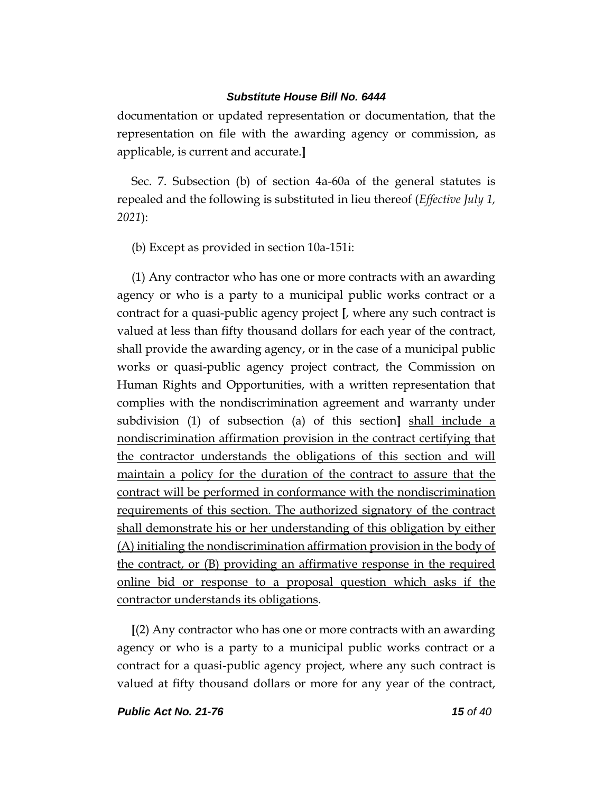documentation or updated representation or documentation, that the representation on file with the awarding agency or commission, as applicable, is current and accurate.**]**

Sec. 7. Subsection (b) of section 4a-60a of the general statutes is repealed and the following is substituted in lieu thereof (*Effective July 1, 2021*):

(b) Except as provided in section 10a-151i:

(1) Any contractor who has one or more contracts with an awarding agency or who is a party to a municipal public works contract or a contract for a quasi-public agency project **[**, where any such contract is valued at less than fifty thousand dollars for each year of the contract, shall provide the awarding agency, or in the case of a municipal public works or quasi-public agency project contract, the Commission on Human Rights and Opportunities, with a written representation that complies with the nondiscrimination agreement and warranty under subdivision (1) of subsection (a) of this section**]** shall include a nondiscrimination affirmation provision in the contract certifying that the contractor understands the obligations of this section and will maintain a policy for the duration of the contract to assure that the contract will be performed in conformance with the nondiscrimination requirements of this section. The authorized signatory of the contract shall demonstrate his or her understanding of this obligation by either (A) initialing the nondiscrimination affirmation provision in the body of the contract, or (B) providing an affirmative response in the required online bid or response to a proposal question which asks if the contractor understands its obligations.

**[**(2) Any contractor who has one or more contracts with an awarding agency or who is a party to a municipal public works contract or a contract for a quasi-public agency project, where any such contract is valued at fifty thousand dollars or more for any year of the contract,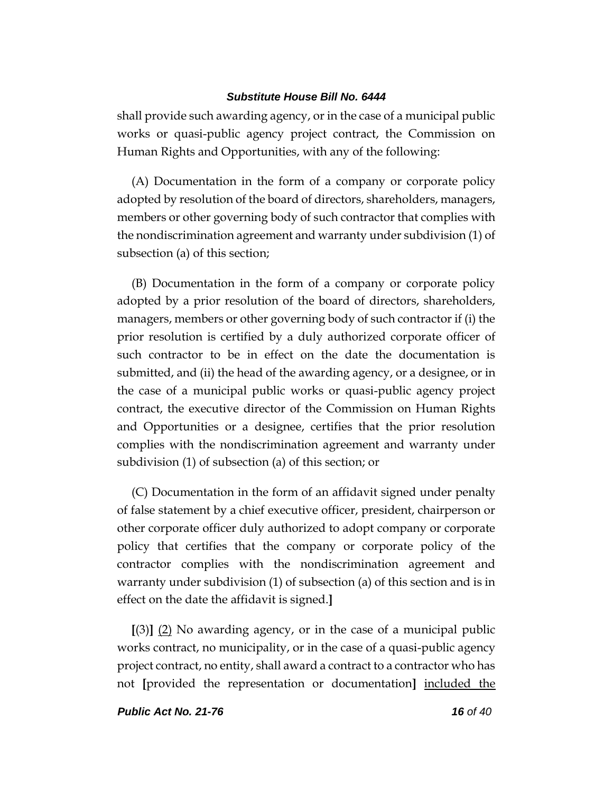shall provide such awarding agency, or in the case of a municipal public works or quasi-public agency project contract, the Commission on Human Rights and Opportunities, with any of the following:

(A) Documentation in the form of a company or corporate policy adopted by resolution of the board of directors, shareholders, managers, members or other governing body of such contractor that complies with the nondiscrimination agreement and warranty under subdivision (1) of subsection (a) of this section;

(B) Documentation in the form of a company or corporate policy adopted by a prior resolution of the board of directors, shareholders, managers, members or other governing body of such contractor if (i) the prior resolution is certified by a duly authorized corporate officer of such contractor to be in effect on the date the documentation is submitted, and (ii) the head of the awarding agency, or a designee, or in the case of a municipal public works or quasi-public agency project contract, the executive director of the Commission on Human Rights and Opportunities or a designee, certifies that the prior resolution complies with the nondiscrimination agreement and warranty under subdivision (1) of subsection (a) of this section; or

(C) Documentation in the form of an affidavit signed under penalty of false statement by a chief executive officer, president, chairperson or other corporate officer duly authorized to adopt company or corporate policy that certifies that the company or corporate policy of the contractor complies with the nondiscrimination agreement and warranty under subdivision (1) of subsection (a) of this section and is in effect on the date the affidavit is signed.**]**

**[**(3)**]** (2) No awarding agency, or in the case of a municipal public works contract, no municipality, or in the case of a quasi-public agency project contract, no entity, shall award a contract to a contractor who has not **[**provided the representation or documentation**]** included the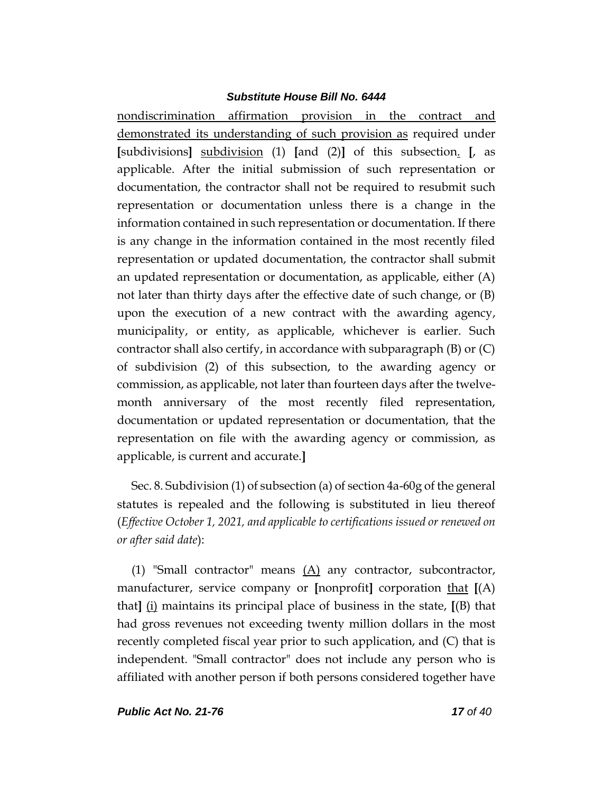nondiscrimination affirmation provision in the contract and demonstrated its understanding of such provision as required under **[**subdivisions**]** subdivision (1) **[**and (2)**]** of this subsection. **[**, as applicable. After the initial submission of such representation or documentation, the contractor shall not be required to resubmit such representation or documentation unless there is a change in the information contained in such representation or documentation. If there is any change in the information contained in the most recently filed representation or updated documentation, the contractor shall submit an updated representation or documentation, as applicable, either (A) not later than thirty days after the effective date of such change, or (B) upon the execution of a new contract with the awarding agency, municipality, or entity, as applicable, whichever is earlier. Such contractor shall also certify, in accordance with subparagraph  $(B)$  or  $(C)$ of subdivision (2) of this subsection, to the awarding agency or commission, as applicable, not later than fourteen days after the twelvemonth anniversary of the most recently filed representation, documentation or updated representation or documentation, that the representation on file with the awarding agency or commission, as applicable, is current and accurate.**]**

Sec. 8. Subdivision (1) of subsection (a) of section 4a-60g of the general statutes is repealed and the following is substituted in lieu thereof (*Effective October 1, 2021, and applicable to certifications issued or renewed on or after said date*):

(1) "Small contractor" means  $(A)$  any contractor, subcontractor, manufacturer, service company or **[**nonprofit**]** corporation that **[**(A) that**]** (i) maintains its principal place of business in the state, **[**(B) that had gross revenues not exceeding twenty million dollars in the most recently completed fiscal year prior to such application, and (C) that is independent. "Small contractor" does not include any person who is affiliated with another person if both persons considered together have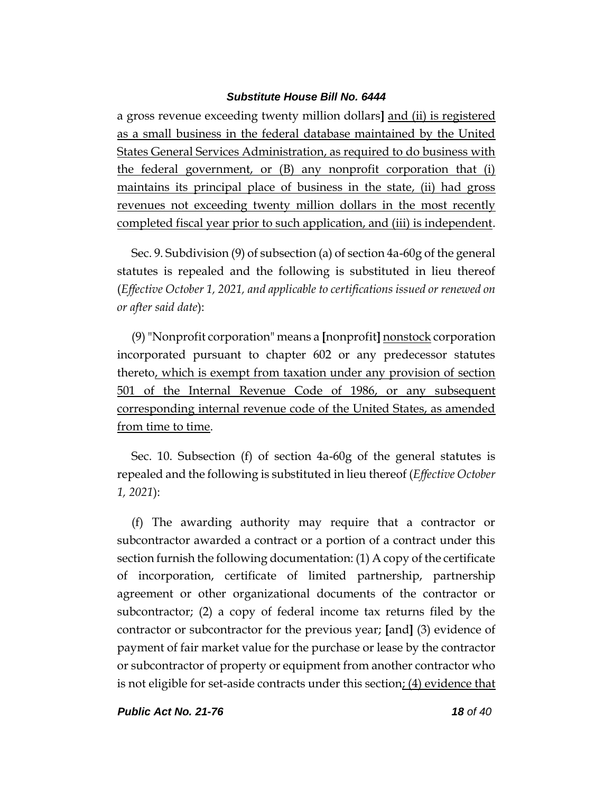a gross revenue exceeding twenty million dollars**]** and (ii) is registered as a small business in the federal database maintained by the United States General Services Administration, as required to do business with the federal government, or (B) any nonprofit corporation that (i) maintains its principal place of business in the state, (ii) had gross revenues not exceeding twenty million dollars in the most recently completed fiscal year prior to such application, and (iii) is independent.

Sec. 9. Subdivision (9) of subsection (a) of section 4a-60g of the general statutes is repealed and the following is substituted in lieu thereof (*Effective October 1, 2021, and applicable to certifications issued or renewed on or after said date*):

(9)"Nonprofit corporation" means a **[**nonprofit**]** nonstock corporation incorporated pursuant to chapter 602 or any predecessor statutes thereto, which is exempt from taxation under any provision of section 501 of the Internal Revenue Code of 1986, or any subsequent corresponding internal revenue code of the United States, as amended from time to time.

Sec. 10. Subsection (f) of section 4a-60g of the general statutes is repealed and the following is substituted in lieu thereof (*Effective October 1, 2021*):

(f) The awarding authority may require that a contractor or subcontractor awarded a contract or a portion of a contract under this section furnish the following documentation: (1) A copy of the certificate of incorporation, certificate of limited partnership, partnership agreement or other organizational documents of the contractor or subcontractor; (2) a copy of federal income tax returns filed by the contractor or subcontractor for the previous year; **[**and**]** (3) evidence of payment of fair market value for the purchase or lease by the contractor or subcontractor of property or equipment from another contractor who is not eligible for set-aside contracts under this section; (4) evidence that

*Public Act No. 21-76 18 of 40*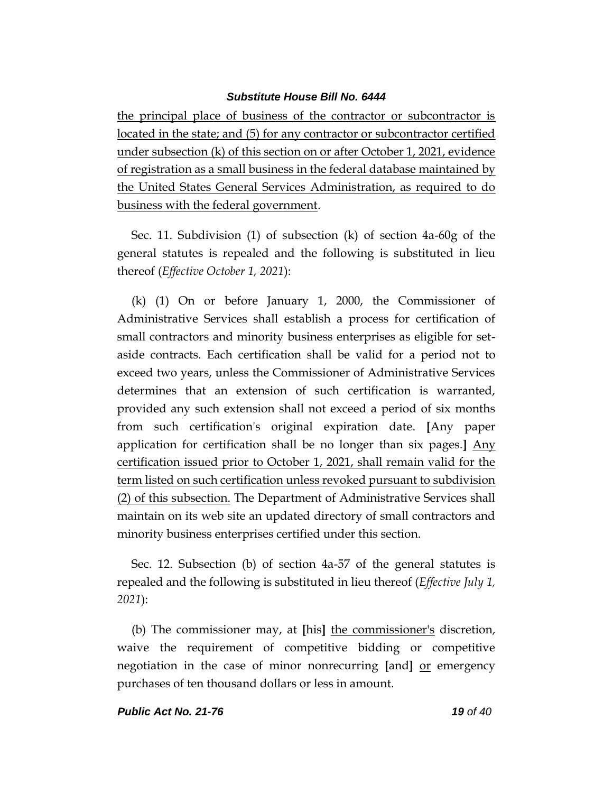the principal place of business of the contractor or subcontractor is located in the state; and (5) for any contractor or subcontractor certified under subsection (k) of this section on or after October 1, 2021, evidence of registration as a small business in the federal database maintained by the United States General Services Administration, as required to do business with the federal government.

Sec. 11. Subdivision (1) of subsection (k) of section 4a-60g of the general statutes is repealed and the following is substituted in lieu thereof (*Effective October 1, 2021*):

(k) (1) On or before January 1, 2000, the Commissioner of Administrative Services shall establish a process for certification of small contractors and minority business enterprises as eligible for setaside contracts. Each certification shall be valid for a period not to exceed two years, unless the Commissioner of Administrative Services determines that an extension of such certification is warranted, provided any such extension shall not exceed a period of six months from such certification's original expiration date. **[**Any paper application for certification shall be no longer than six pages.**]** Any certification issued prior to October 1, 2021, shall remain valid for the term listed on such certification unless revoked pursuant to subdivision (2) of this subsection. The Department of Administrative Services shall maintain on its web site an updated directory of small contractors and minority business enterprises certified under this section.

Sec. 12. Subsection (b) of section 4a-57 of the general statutes is repealed and the following is substituted in lieu thereof (*Effective July 1, 2021*):

(b) The commissioner may, at **[**his**]** the commissioner's discretion, waive the requirement of competitive bidding or competitive negotiation in the case of minor nonrecurring **[**and**]** or emergency purchases of ten thousand dollars or less in amount.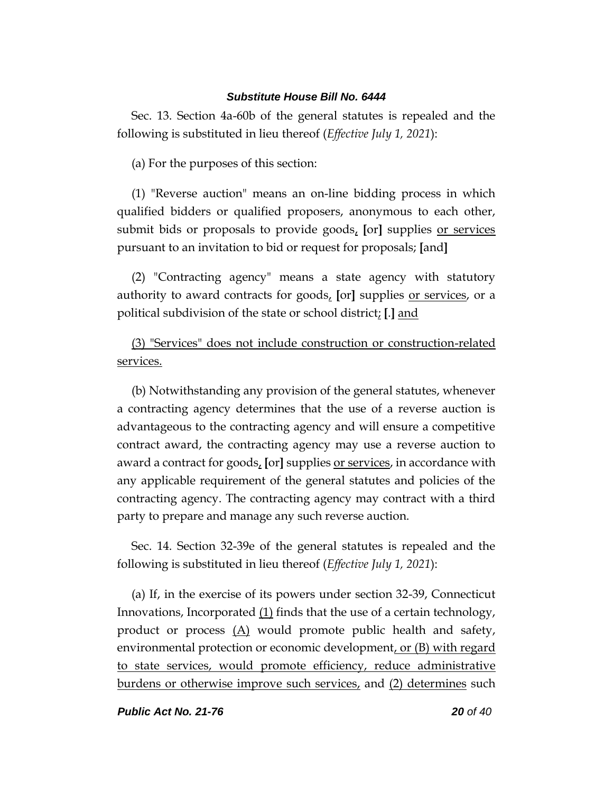Sec. 13. Section 4a-60b of the general statutes is repealed and the following is substituted in lieu thereof (*Effective July 1, 2021*):

(a) For the purposes of this section:

(1) "Reverse auction" means an on-line bidding process in which qualified bidders or qualified proposers, anonymous to each other, submit bids or proposals to provide goods, **[**or**]** supplies or services pursuant to an invitation to bid or request for proposals; **[**and**]**

(2) "Contracting agency" means a state agency with statutory authority to award contracts for goods, **[**or**]** supplies or services, or a political subdivision of the state or school district; **[**.**]** and

(3) "Services" does not include construction or construction-related services.

(b) Notwithstanding any provision of the general statutes, whenever a contracting agency determines that the use of a reverse auction is advantageous to the contracting agency and will ensure a competitive contract award, the contracting agency may use a reverse auction to award a contract for goods, **[**or**]** supplies or services, in accordance with any applicable requirement of the general statutes and policies of the contracting agency. The contracting agency may contract with a third party to prepare and manage any such reverse auction.

Sec. 14. Section 32-39e of the general statutes is repealed and the following is substituted in lieu thereof (*Effective July 1, 2021*):

(a) If, in the exercise of its powers under section 32-39, Connecticut Innovations, Incorporated (1) finds that the use of a certain technology, product or process  $(A)$  would promote public health and safety, environmental protection or economic development, or (B) with regard to state services, would promote efficiency, reduce administrative burdens or otherwise improve such services, and (2) determines such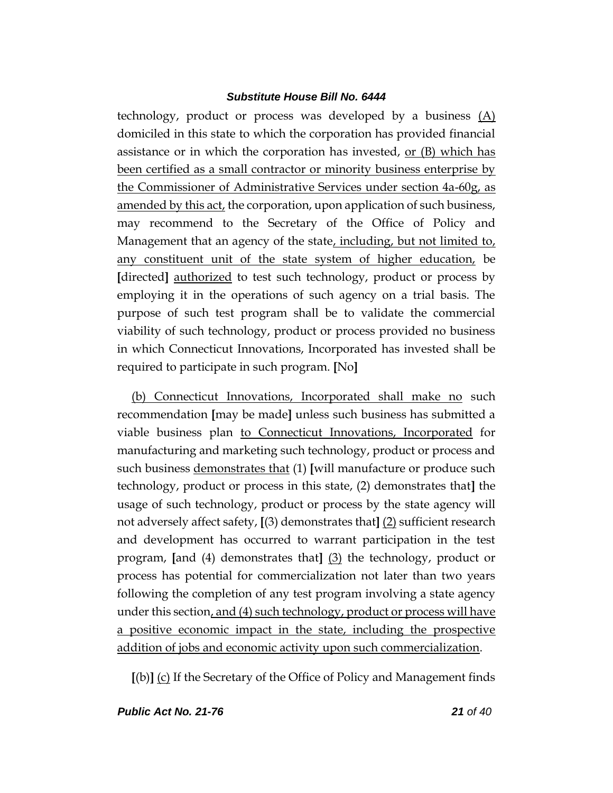technology, product or process was developed by a business (A) domiciled in this state to which the corporation has provided financial assistance or in which the corporation has invested, or (B) which has been certified as a small contractor or minority business enterprise by the Commissioner of Administrative Services under section 4a-60g, as amended by this act, the corporation, upon application of such business, may recommend to the Secretary of the Office of Policy and Management that an agency of the state, including, but not limited to, any constituent unit of the state system of higher education, be **[**directed**]** authorized to test such technology, product or process by employing it in the operations of such agency on a trial basis. The purpose of such test program shall be to validate the commercial viability of such technology, product or process provided no business in which Connecticut Innovations, Incorporated has invested shall be required to participate in such program. **[**No**]**

(b) Connecticut Innovations, Incorporated shall make no such recommendation **[**may be made**]** unless such business has submitted a viable business plan to Connecticut Innovations, Incorporated for manufacturing and marketing such technology, product or process and such business demonstrates that (1) **[**will manufacture or produce such technology, product or process in this state, (2) demonstrates that**]** the usage of such technology, product or process by the state agency will not adversely affect safety, **[**(3) demonstrates that**]** (2) sufficient research and development has occurred to warrant participation in the test program, **[**and (4) demonstrates that**]** (3) the technology, product or process has potential for commercialization not later than two years following the completion of any test program involving a state agency under this section, and (4) such technology, product or process will have a positive economic impact in the state, including the prospective addition of jobs and economic activity upon such commercialization.

**[**(b)**]** (c) If the Secretary of the Office of Policy and Management finds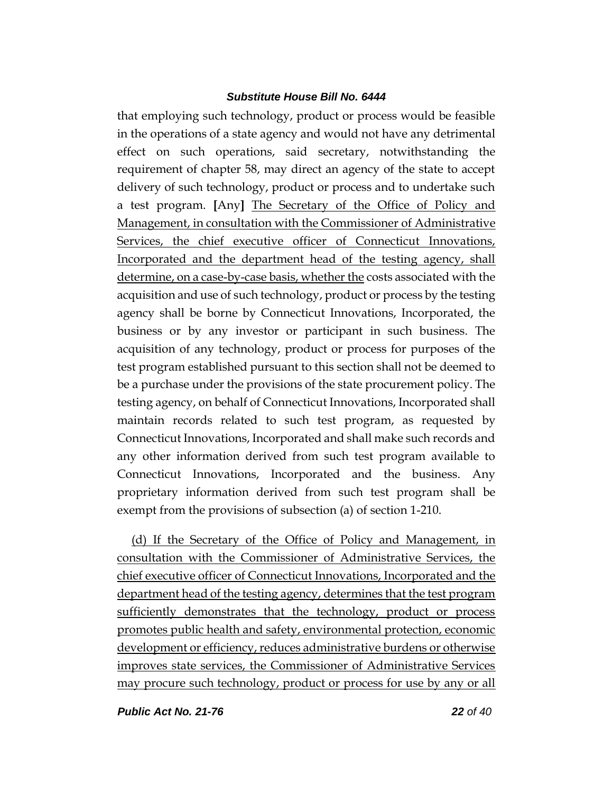that employing such technology, product or process would be feasible in the operations of a state agency and would not have any detrimental effect on such operations, said secretary, notwithstanding the requirement of chapter 58, may direct an agency of the state to accept delivery of such technology, product or process and to undertake such a test program. **[**Any**]** The Secretary of the Office of Policy and Management, in consultation with the Commissioner of Administrative Services, the chief executive officer of Connecticut Innovations, Incorporated and the department head of the testing agency, shall determine, on a case-by-case basis, whether the costs associated with the acquisition and use of such technology, product or process by the testing agency shall be borne by Connecticut Innovations, Incorporated, the business or by any investor or participant in such business. The acquisition of any technology, product or process for purposes of the test program established pursuant to this section shall not be deemed to be a purchase under the provisions of the state procurement policy. The testing agency, on behalf of Connecticut Innovations, Incorporated shall maintain records related to such test program, as requested by Connecticut Innovations, Incorporated and shall make such records and any other information derived from such test program available to Connecticut Innovations, Incorporated and the business. Any proprietary information derived from such test program shall be exempt from the provisions of subsection (a) of section 1-210.

(d) If the Secretary of the Office of Policy and Management, in consultation with the Commissioner of Administrative Services, the chief executive officer of Connecticut Innovations, Incorporated and the department head of the testing agency, determines that the test program sufficiently demonstrates that the technology, product or process promotes public health and safety, environmental protection, economic development or efficiency, reduces administrative burdens or otherwise improves state services, the Commissioner of Administrative Services may procure such technology, product or process for use by any or all

*Public Act No. 21-76 22 of 40*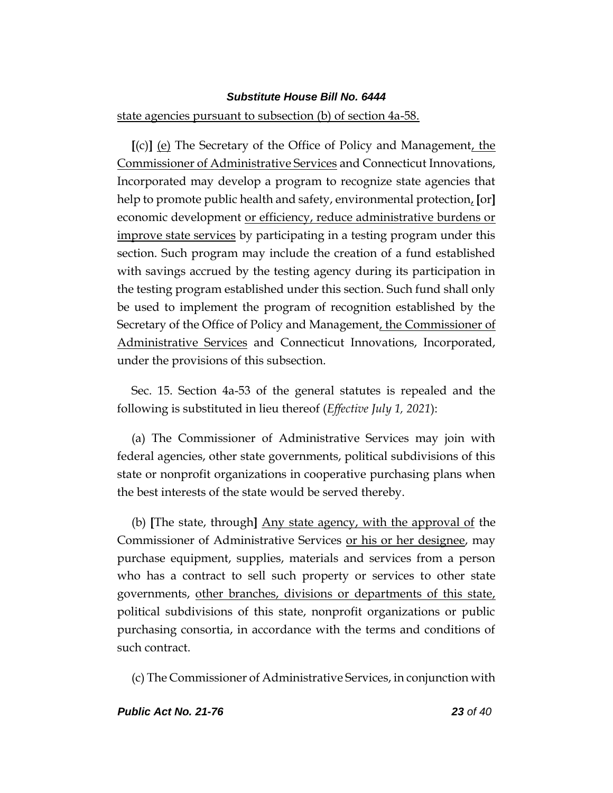# state agencies pursuant to subsection (b) of section 4a-58.

**[**(c)**]** (e) The Secretary of the Office of Policy and Management, the Commissioner of Administrative Services and Connecticut Innovations, Incorporated may develop a program to recognize state agencies that help to promote public health and safety, environmental protection, **[**or**]** economic development or efficiency, reduce administrative burdens or improve state services by participating in a testing program under this section. Such program may include the creation of a fund established with savings accrued by the testing agency during its participation in the testing program established under this section. Such fund shall only be used to implement the program of recognition established by the Secretary of the Office of Policy and Management, the Commissioner of Administrative Services and Connecticut Innovations, Incorporated, under the provisions of this subsection.

Sec. 15. Section 4a-53 of the general statutes is repealed and the following is substituted in lieu thereof (*Effective July 1, 2021*):

(a) The Commissioner of Administrative Services may join with federal agencies, other state governments, political subdivisions of this state or nonprofit organizations in cooperative purchasing plans when the best interests of the state would be served thereby.

(b) **[**The state, through**]** Any state agency, with the approval of the Commissioner of Administrative Services or his or her designee, may purchase equipment, supplies, materials and services from a person who has a contract to sell such property or services to other state governments, other branches, divisions or departments of this state, political subdivisions of this state, nonprofit organizations or public purchasing consortia, in accordance with the terms and conditions of such contract.

(c) The Commissioner of Administrative Services, in conjunction with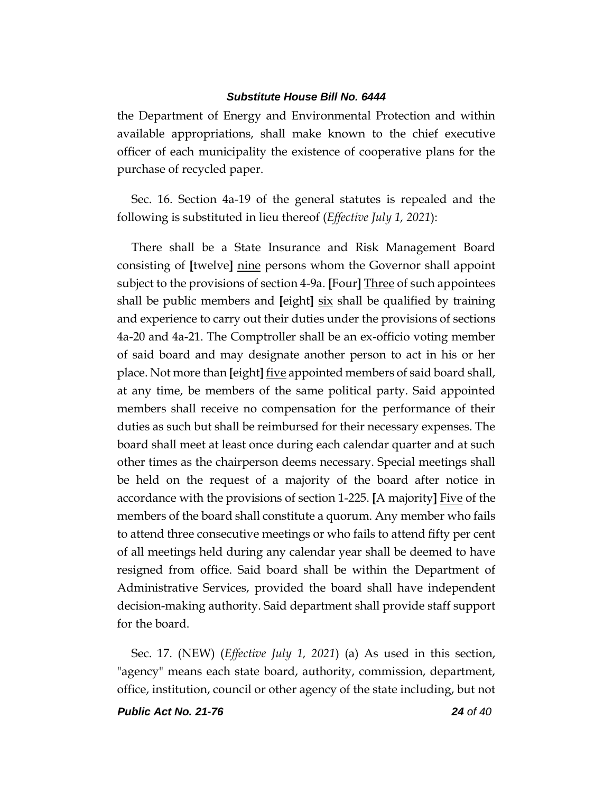the Department of Energy and Environmental Protection and within available appropriations, shall make known to the chief executive officer of each municipality the existence of cooperative plans for the purchase of recycled paper.

Sec. 16. Section 4a-19 of the general statutes is repealed and the following is substituted in lieu thereof (*Effective July 1, 2021*):

There shall be a State Insurance and Risk Management Board consisting of **[**twelve**]** nine persons whom the Governor shall appoint subject to the provisions of section 4-9a. **[**Four**]** Three of such appointees shall be public members and **[**eight**]** six shall be qualified by training and experience to carry out their duties under the provisions of sections 4a-20 and 4a-21. The Comptroller shall be an ex-officio voting member of said board and may designate another person to act in his or her place. Not more than **[**eight**]** five appointed members of said board shall, at any time, be members of the same political party. Said appointed members shall receive no compensation for the performance of their duties as such but shall be reimbursed for their necessary expenses. The board shall meet at least once during each calendar quarter and at such other times as the chairperson deems necessary. Special meetings shall be held on the request of a majority of the board after notice in accordance with the provisions of section 1-225. **[**A majority**]** Five of the members of the board shall constitute a quorum. Any member who fails to attend three consecutive meetings or who fails to attend fifty per cent of all meetings held during any calendar year shall be deemed to have resigned from office. Said board shall be within the Department of Administrative Services, provided the board shall have independent decision-making authority. Said department shall provide staff support for the board.

Sec. 17. (NEW) (*Effective July 1, 2021*) (a) As used in this section, "agency" means each state board, authority, commission, department, office, institution, council or other agency of the state including, but not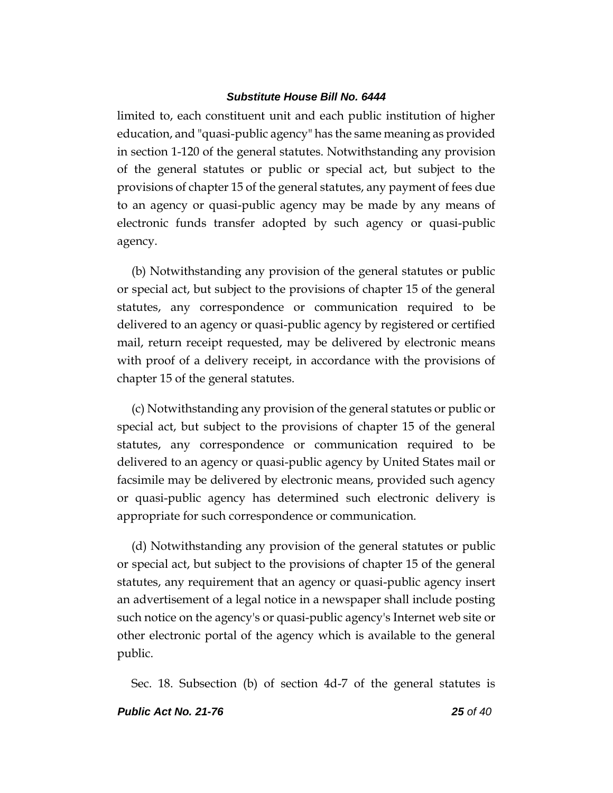limited to, each constituent unit and each public institution of higher education, and "quasi-public agency" has the same meaning as provided in section 1-120 of the general statutes. Notwithstanding any provision of the general statutes or public or special act, but subject to the provisions of chapter 15 of the general statutes, any payment of fees due to an agency or quasi-public agency may be made by any means of electronic funds transfer adopted by such agency or quasi-public agency.

(b) Notwithstanding any provision of the general statutes or public or special act, but subject to the provisions of chapter 15 of the general statutes, any correspondence or communication required to be delivered to an agency or quasi-public agency by registered or certified mail, return receipt requested, may be delivered by electronic means with proof of a delivery receipt, in accordance with the provisions of chapter 15 of the general statutes.

(c) Notwithstanding any provision of the general statutes or public or special act, but subject to the provisions of chapter 15 of the general statutes, any correspondence or communication required to be delivered to an agency or quasi-public agency by United States mail or facsimile may be delivered by electronic means, provided such agency or quasi-public agency has determined such electronic delivery is appropriate for such correspondence or communication.

(d) Notwithstanding any provision of the general statutes or public or special act, but subject to the provisions of chapter 15 of the general statutes, any requirement that an agency or quasi-public agency insert an advertisement of a legal notice in a newspaper shall include posting such notice on the agency's or quasi-public agency's Internet web site or other electronic portal of the agency which is available to the general public.

Sec. 18. Subsection (b) of section 4d-7 of the general statutes is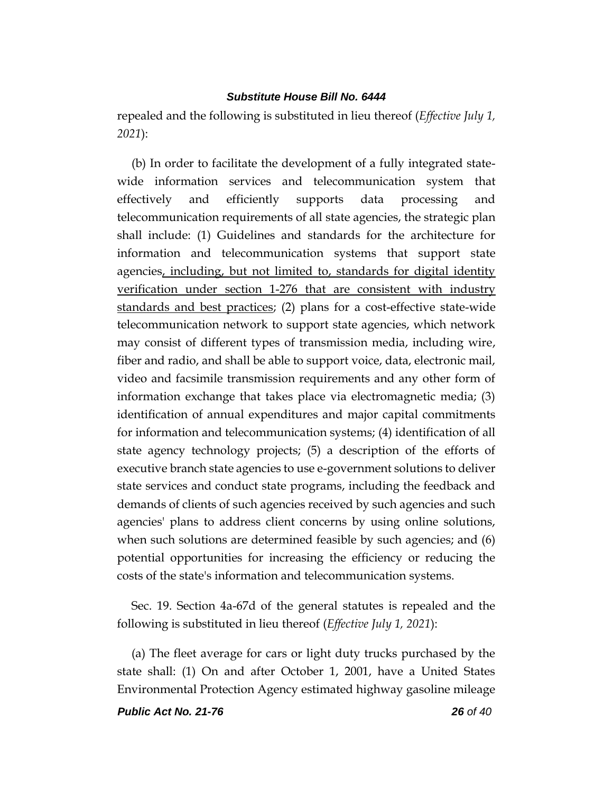repealed and the following is substituted in lieu thereof (*Effective July 1, 2021*):

(b) In order to facilitate the development of a fully integrated statewide information services and telecommunication system that effectively and efficiently supports data processing and telecommunication requirements of all state agencies, the strategic plan shall include: (1) Guidelines and standards for the architecture for information and telecommunication systems that support state agencies, including, but not limited to, standards for digital identity verification under section 1-276 that are consistent with industry standards and best practices; (2) plans for a cost-effective state-wide telecommunication network to support state agencies, which network may consist of different types of transmission media, including wire, fiber and radio, and shall be able to support voice, data, electronic mail, video and facsimile transmission requirements and any other form of information exchange that takes place via electromagnetic media; (3) identification of annual expenditures and major capital commitments for information and telecommunication systems; (4) identification of all state agency technology projects; (5) a description of the efforts of executive branch state agencies to use e-government solutions to deliver state services and conduct state programs, including the feedback and demands of clients of such agencies received by such agencies and such agencies' plans to address client concerns by using online solutions, when such solutions are determined feasible by such agencies; and (6) potential opportunities for increasing the efficiency or reducing the costs of the state's information and telecommunication systems.

Sec. 19. Section 4a-67d of the general statutes is repealed and the following is substituted in lieu thereof (*Effective July 1, 2021*):

(a) The fleet average for cars or light duty trucks purchased by the state shall: (1) On and after October 1, 2001, have a United States Environmental Protection Agency estimated highway gasoline mileage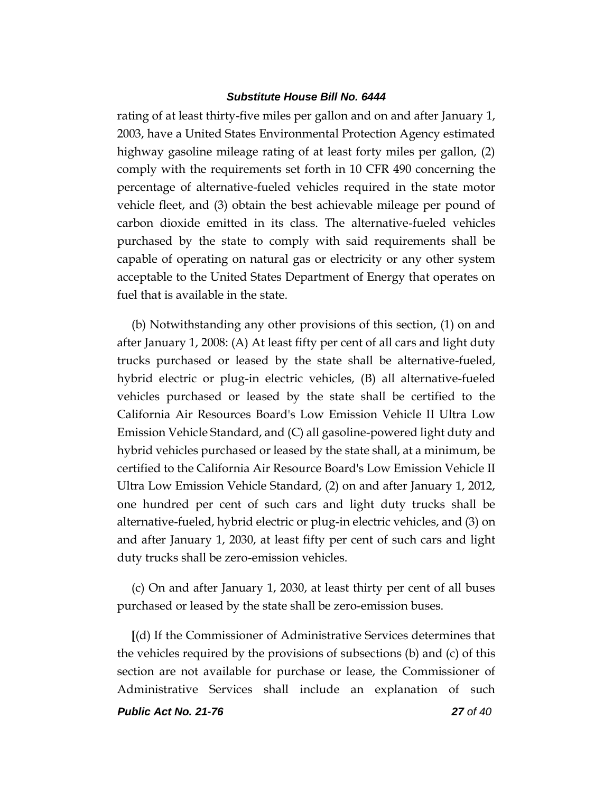rating of at least thirty-five miles per gallon and on and after January 1, 2003, have a United States Environmental Protection Agency estimated highway gasoline mileage rating of at least forty miles per gallon, (2) comply with the requirements set forth in 10 CFR 490 concerning the percentage of alternative-fueled vehicles required in the state motor vehicle fleet, and (3) obtain the best achievable mileage per pound of carbon dioxide emitted in its class. The alternative-fueled vehicles purchased by the state to comply with said requirements shall be capable of operating on natural gas or electricity or any other system acceptable to the United States Department of Energy that operates on fuel that is available in the state.

(b) Notwithstanding any other provisions of this section, (1) on and after January 1, 2008: (A) At least fifty per cent of all cars and light duty trucks purchased or leased by the state shall be alternative-fueled, hybrid electric or plug-in electric vehicles, (B) all alternative-fueled vehicles purchased or leased by the state shall be certified to the California Air Resources Board's Low Emission Vehicle II Ultra Low Emission Vehicle Standard, and (C) all gasoline-powered light duty and hybrid vehicles purchased or leased by the state shall, at a minimum, be certified to the California Air Resource Board's Low Emission Vehicle II Ultra Low Emission Vehicle Standard, (2) on and after January 1, 2012, one hundred per cent of such cars and light duty trucks shall be alternative-fueled, hybrid electric or plug-in electric vehicles, and (3) on and after January 1, 2030, at least fifty per cent of such cars and light duty trucks shall be zero-emission vehicles.

(c) On and after January 1, 2030, at least thirty per cent of all buses purchased or leased by the state shall be zero-emission buses.

**[**(d) If the Commissioner of Administrative Services determines that the vehicles required by the provisions of subsections (b) and (c) of this section are not available for purchase or lease, the Commissioner of Administrative Services shall include an explanation of such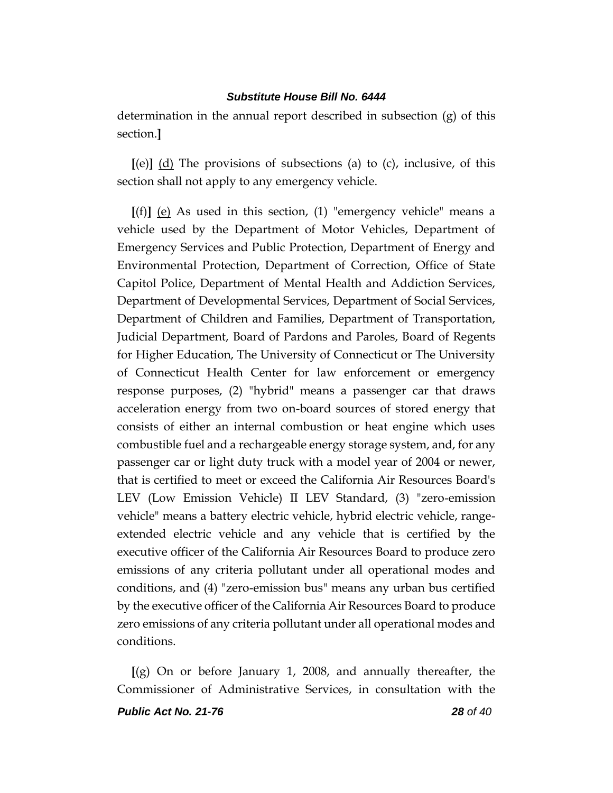determination in the annual report described in subsection (g) of this section.**]**

**[**(e)**]** (d) The provisions of subsections (a) to (c), inclusive, of this section shall not apply to any emergency vehicle.

**[**(f)**]** (e) As used in this section, (1) "emergency vehicle" means a vehicle used by the Department of Motor Vehicles, Department of Emergency Services and Public Protection, Department of Energy and Environmental Protection, Department of Correction, Office of State Capitol Police, Department of Mental Health and Addiction Services, Department of Developmental Services, Department of Social Services, Department of Children and Families, Department of Transportation, Judicial Department, Board of Pardons and Paroles, Board of Regents for Higher Education, The University of Connecticut or The University of Connecticut Health Center for law enforcement or emergency response purposes, (2) "hybrid" means a passenger car that draws acceleration energy from two on-board sources of stored energy that consists of either an internal combustion or heat engine which uses combustible fuel and a rechargeable energy storage system, and, for any passenger car or light duty truck with a model year of 2004 or newer, that is certified to meet or exceed the California Air Resources Board's LEV (Low Emission Vehicle) II LEV Standard, (3) "zero-emission vehicle" means a battery electric vehicle, hybrid electric vehicle, rangeextended electric vehicle and any vehicle that is certified by the executive officer of the California Air Resources Board to produce zero emissions of any criteria pollutant under all operational modes and conditions, and (4) "zero-emission bus" means any urban bus certified by the executive officer of the California Air Resources Board to produce zero emissions of any criteria pollutant under all operational modes and conditions.

**[**(g) On or before January 1, 2008, and annually thereafter, the Commissioner of Administrative Services, in consultation with the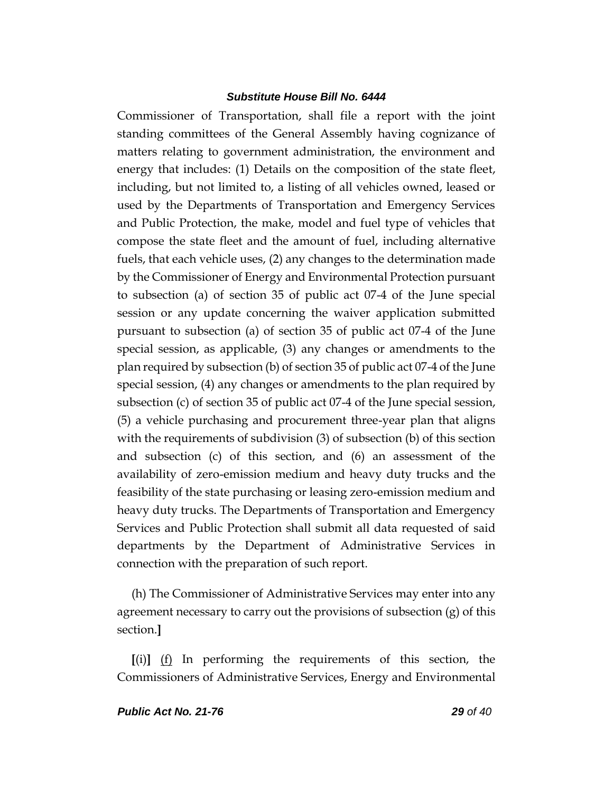Commissioner of Transportation, shall file a report with the joint standing committees of the General Assembly having cognizance of matters relating to government administration, the environment and energy that includes: (1) Details on the composition of the state fleet, including, but not limited to, a listing of all vehicles owned, leased or used by the Departments of Transportation and Emergency Services and Public Protection, the make, model and fuel type of vehicles that compose the state fleet and the amount of fuel, including alternative fuels, that each vehicle uses, (2) any changes to the determination made by the Commissioner of Energy and Environmental Protection pursuant to subsection (a) of section 35 of public act 07-4 of the June special session or any update concerning the waiver application submitted pursuant to subsection (a) of section 35 of public act 07-4 of the June special session, as applicable, (3) any changes or amendments to the plan required by subsection (b) of section 35 of public act 07-4 of the June special session, (4) any changes or amendments to the plan required by subsection (c) of section 35 of public act 07-4 of the June special session, (5) a vehicle purchasing and procurement three-year plan that aligns with the requirements of subdivision (3) of subsection (b) of this section and subsection (c) of this section, and (6) an assessment of the availability of zero-emission medium and heavy duty trucks and the feasibility of the state purchasing or leasing zero-emission medium and heavy duty trucks. The Departments of Transportation and Emergency Services and Public Protection shall submit all data requested of said departments by the Department of Administrative Services in connection with the preparation of such report.

(h) The Commissioner of Administrative Services may enter into any agreement necessary to carry out the provisions of subsection  $(g)$  of this section.**]**

**[**(i)**]** (f) In performing the requirements of this section, the Commissioners of Administrative Services, Energy and Environmental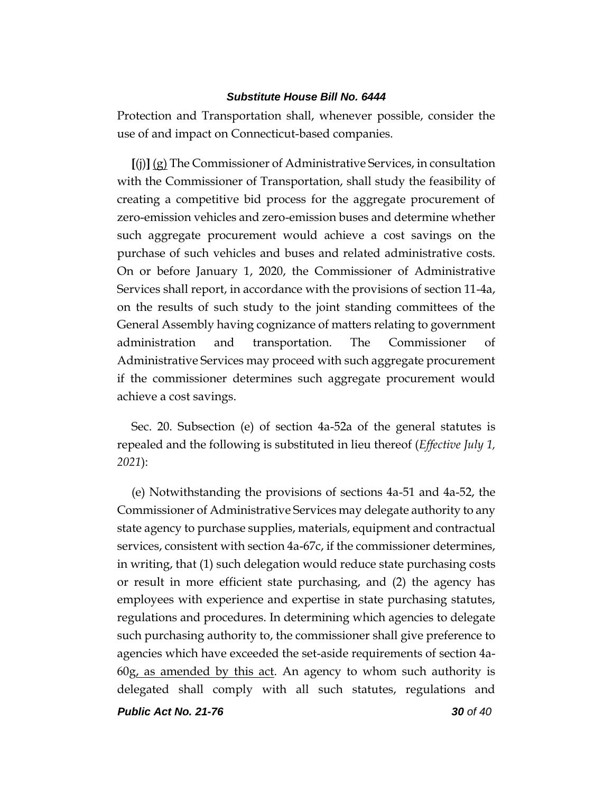Protection and Transportation shall, whenever possible, consider the use of and impact on Connecticut-based companies.

**[**(j)**]** (g) The Commissioner of Administrative Services, in consultation with the Commissioner of Transportation, shall study the feasibility of creating a competitive bid process for the aggregate procurement of zero-emission vehicles and zero-emission buses and determine whether such aggregate procurement would achieve a cost savings on the purchase of such vehicles and buses and related administrative costs. On or before January 1, 2020, the Commissioner of Administrative Services shall report, in accordance with the provisions of section 11-4a, on the results of such study to the joint standing committees of the General Assembly having cognizance of matters relating to government administration and transportation. The Commissioner of Administrative Services may proceed with such aggregate procurement if the commissioner determines such aggregate procurement would achieve a cost savings.

Sec. 20. Subsection (e) of section 4a-52a of the general statutes is repealed and the following is substituted in lieu thereof (*Effective July 1, 2021*):

(e) Notwithstanding the provisions of sections 4a-51 and 4a-52, the Commissioner of Administrative Services may delegate authority to any state agency to purchase supplies, materials, equipment and contractual services, consistent with section 4a-67c, if the commissioner determines, in writing, that (1) such delegation would reduce state purchasing costs or result in more efficient state purchasing, and (2) the agency has employees with experience and expertise in state purchasing statutes, regulations and procedures. In determining which agencies to delegate such purchasing authority to, the commissioner shall give preference to agencies which have exceeded the set-aside requirements of section 4a-60g, as amended by this act. An agency to whom such authority is delegated shall comply with all such statutes, regulations and

*Public Act No. 21-76 30 of 40*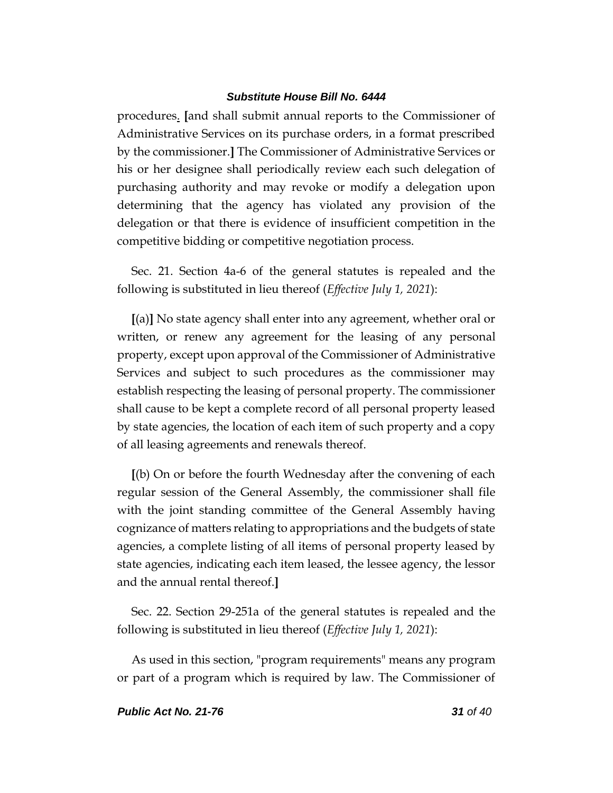procedures. **[**and shall submit annual reports to the Commissioner of Administrative Services on its purchase orders, in a format prescribed by the commissioner.**]** The Commissioner of Administrative Services or his or her designee shall periodically review each such delegation of purchasing authority and may revoke or modify a delegation upon determining that the agency has violated any provision of the delegation or that there is evidence of insufficient competition in the competitive bidding or competitive negotiation process.

Sec. 21. Section 4a-6 of the general statutes is repealed and the following is substituted in lieu thereof (*Effective July 1, 2021*):

**[**(a)**]** No state agency shall enter into any agreement, whether oral or written, or renew any agreement for the leasing of any personal property, except upon approval of the Commissioner of Administrative Services and subject to such procedures as the commissioner may establish respecting the leasing of personal property. The commissioner shall cause to be kept a complete record of all personal property leased by state agencies, the location of each item of such property and a copy of all leasing agreements and renewals thereof.

**[**(b) On or before the fourth Wednesday after the convening of each regular session of the General Assembly, the commissioner shall file with the joint standing committee of the General Assembly having cognizance of matters relating to appropriations and the budgets of state agencies, a complete listing of all items of personal property leased by state agencies, indicating each item leased, the lessee agency, the lessor and the annual rental thereof.**]**

Sec. 22. Section 29-251a of the general statutes is repealed and the following is substituted in lieu thereof (*Effective July 1, 2021*):

As used in this section, "program requirements" means any program or part of a program which is required by law. The Commissioner of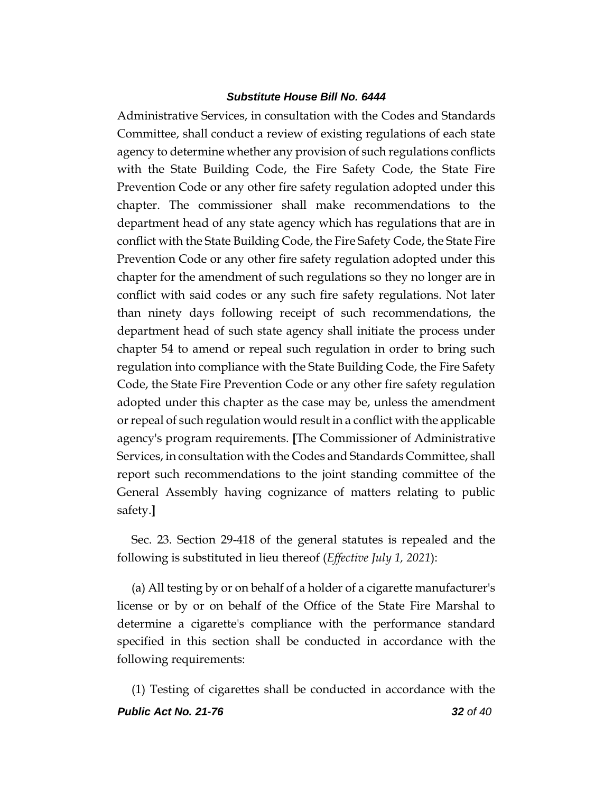Administrative Services, in consultation with the Codes and Standards Committee, shall conduct a review of existing regulations of each state agency to determine whether any provision of such regulations conflicts with the State Building Code, the Fire Safety Code, the State Fire Prevention Code or any other fire safety regulation adopted under this chapter. The commissioner shall make recommendations to the department head of any state agency which has regulations that are in conflict with the State Building Code, the Fire Safety Code, the State Fire Prevention Code or any other fire safety regulation adopted under this chapter for the amendment of such regulations so they no longer are in conflict with said codes or any such fire safety regulations. Not later than ninety days following receipt of such recommendations, the department head of such state agency shall initiate the process under chapter 54 to amend or repeal such regulation in order to bring such regulation into compliance with the State Building Code, the Fire Safety Code, the State Fire Prevention Code or any other fire safety regulation adopted under this chapter as the case may be, unless the amendment or repeal of such regulation would result in a conflict with the applicable agency's program requirements. **[**The Commissioner of Administrative Services, in consultation with the Codes and Standards Committee, shall report such recommendations to the joint standing committee of the General Assembly having cognizance of matters relating to public safety.**]**

Sec. 23. Section 29-418 of the general statutes is repealed and the following is substituted in lieu thereof (*Effective July 1, 2021*):

(a) All testing by or on behalf of a holder of a cigarette manufacturer's license or by or on behalf of the Office of the State Fire Marshal to determine a cigarette's compliance with the performance standard specified in this section shall be conducted in accordance with the following requirements:

*Public Act No. 21-76 32 of 40* (1) Testing of cigarettes shall be conducted in accordance with the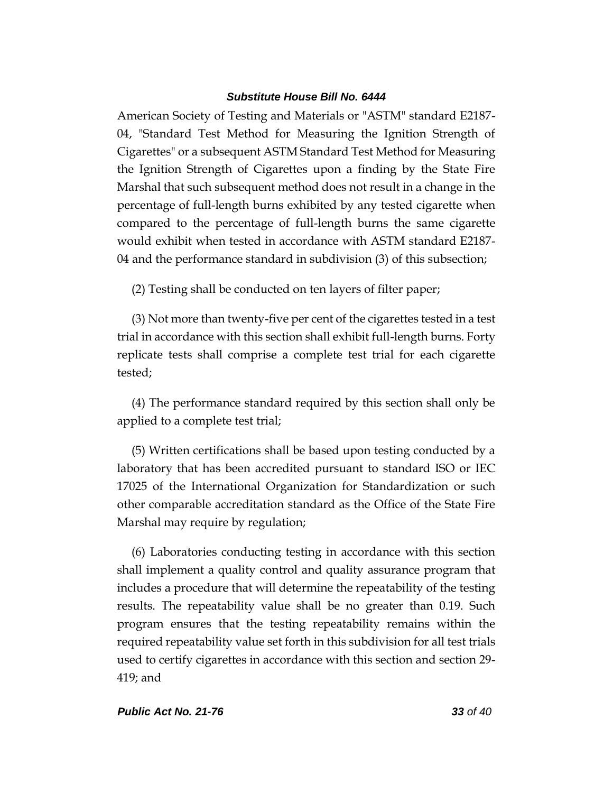American Society of Testing and Materials or "ASTM" standard E2187- 04, "Standard Test Method for Measuring the Ignition Strength of Cigarettes" or a subsequent ASTM Standard Test Method for Measuring the Ignition Strength of Cigarettes upon a finding by the State Fire Marshal that such subsequent method does not result in a change in the percentage of full-length burns exhibited by any tested cigarette when compared to the percentage of full-length burns the same cigarette would exhibit when tested in accordance with ASTM standard E2187- 04 and the performance standard in subdivision (3) of this subsection;

(2) Testing shall be conducted on ten layers of filter paper;

(3) Not more than twenty-five per cent of the cigarettes tested in a test trial in accordance with this section shall exhibit full-length burns. Forty replicate tests shall comprise a complete test trial for each cigarette tested;

(4) The performance standard required by this section shall only be applied to a complete test trial;

(5) Written certifications shall be based upon testing conducted by a laboratory that has been accredited pursuant to standard ISO or IEC 17025 of the International Organization for Standardization or such other comparable accreditation standard as the Office of the State Fire Marshal may require by regulation;

(6) Laboratories conducting testing in accordance with this section shall implement a quality control and quality assurance program that includes a procedure that will determine the repeatability of the testing results. The repeatability value shall be no greater than 0.19. Such program ensures that the testing repeatability remains within the required repeatability value set forth in this subdivision for all test trials used to certify cigarettes in accordance with this section and section 29- 419; and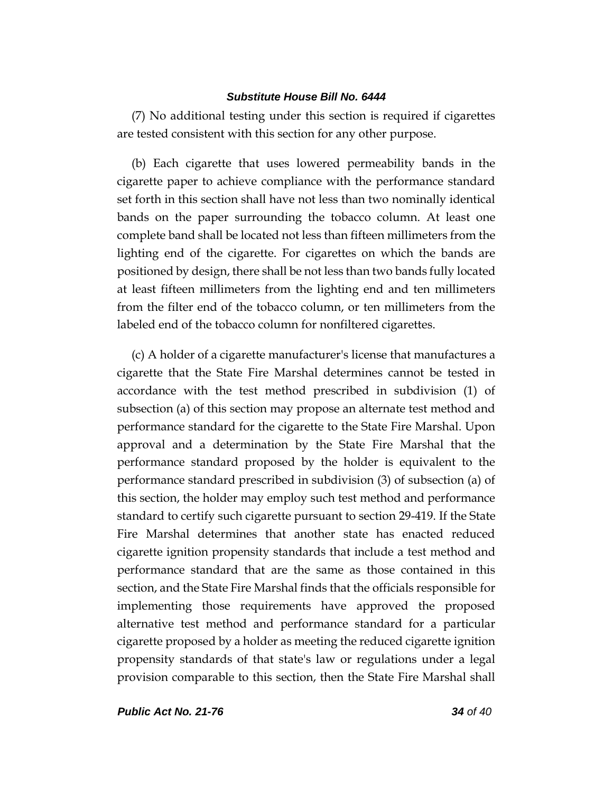(7) No additional testing under this section is required if cigarettes are tested consistent with this section for any other purpose.

(b) Each cigarette that uses lowered permeability bands in the cigarette paper to achieve compliance with the performance standard set forth in this section shall have not less than two nominally identical bands on the paper surrounding the tobacco column. At least one complete band shall be located not less than fifteen millimeters from the lighting end of the cigarette. For cigarettes on which the bands are positioned by design, there shall be not less than two bands fully located at least fifteen millimeters from the lighting end and ten millimeters from the filter end of the tobacco column, or ten millimeters from the labeled end of the tobacco column for nonfiltered cigarettes.

(c) A holder of a cigarette manufacturer's license that manufactures a cigarette that the State Fire Marshal determines cannot be tested in accordance with the test method prescribed in subdivision (1) of subsection (a) of this section may propose an alternate test method and performance standard for the cigarette to the State Fire Marshal. Upon approval and a determination by the State Fire Marshal that the performance standard proposed by the holder is equivalent to the performance standard prescribed in subdivision (3) of subsection (a) of this section, the holder may employ such test method and performance standard to certify such cigarette pursuant to section 29-419. If the State Fire Marshal determines that another state has enacted reduced cigarette ignition propensity standards that include a test method and performance standard that are the same as those contained in this section, and the State Fire Marshal finds that the officials responsible for implementing those requirements have approved the proposed alternative test method and performance standard for a particular cigarette proposed by a holder as meeting the reduced cigarette ignition propensity standards of that state's law or regulations under a legal provision comparable to this section, then the State Fire Marshal shall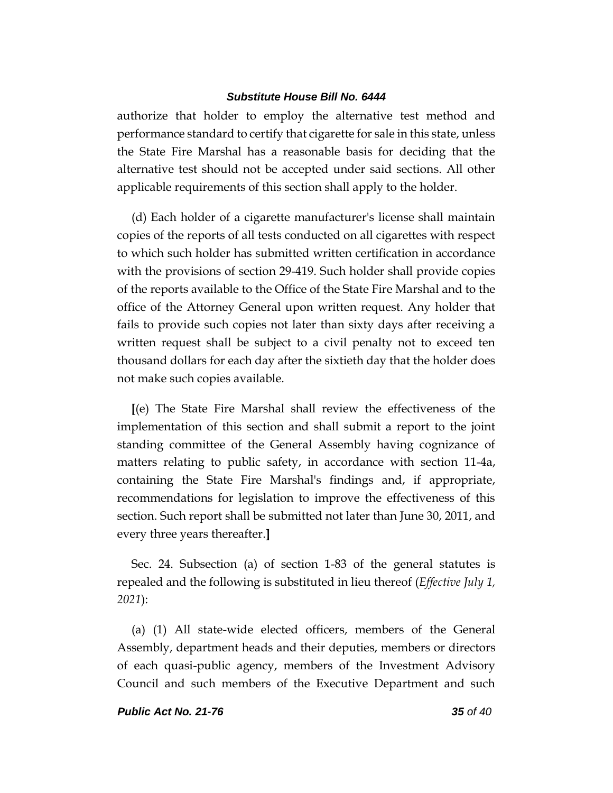authorize that holder to employ the alternative test method and performance standard to certify that cigarette for sale in this state, unless the State Fire Marshal has a reasonable basis for deciding that the alternative test should not be accepted under said sections. All other applicable requirements of this section shall apply to the holder.

(d) Each holder of a cigarette manufacturer's license shall maintain copies of the reports of all tests conducted on all cigarettes with respect to which such holder has submitted written certification in accordance with the provisions of section 29-419. Such holder shall provide copies of the reports available to the Office of the State Fire Marshal and to the office of the Attorney General upon written request. Any holder that fails to provide such copies not later than sixty days after receiving a written request shall be subject to a civil penalty not to exceed ten thousand dollars for each day after the sixtieth day that the holder does not make such copies available.

**[**(e) The State Fire Marshal shall review the effectiveness of the implementation of this section and shall submit a report to the joint standing committee of the General Assembly having cognizance of matters relating to public safety, in accordance with section 11-4a, containing the State Fire Marshal's findings and, if appropriate, recommendations for legislation to improve the effectiveness of this section. Such report shall be submitted not later than June 30, 2011, and every three years thereafter.**]**

Sec. 24. Subsection (a) of section 1-83 of the general statutes is repealed and the following is substituted in lieu thereof (*Effective July 1, 2021*):

(a) (1) All state-wide elected officers, members of the General Assembly, department heads and their deputies, members or directors of each quasi-public agency, members of the Investment Advisory Council and such members of the Executive Department and such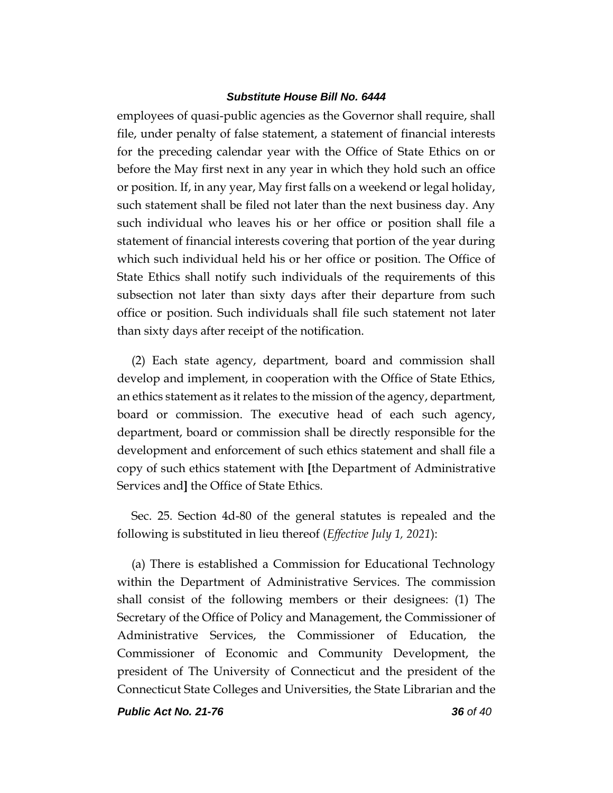employees of quasi-public agencies as the Governor shall require, shall file, under penalty of false statement, a statement of financial interests for the preceding calendar year with the Office of State Ethics on or before the May first next in any year in which they hold such an office or position. If, in any year, May first falls on a weekend or legal holiday, such statement shall be filed not later than the next business day. Any such individual who leaves his or her office or position shall file a statement of financial interests covering that portion of the year during which such individual held his or her office or position. The Office of State Ethics shall notify such individuals of the requirements of this subsection not later than sixty days after their departure from such office or position. Such individuals shall file such statement not later than sixty days after receipt of the notification.

(2) Each state agency, department, board and commission shall develop and implement, in cooperation with the Office of State Ethics, an ethics statement as it relates to the mission of the agency, department, board or commission. The executive head of each such agency, department, board or commission shall be directly responsible for the development and enforcement of such ethics statement and shall file a copy of such ethics statement with **[**the Department of Administrative Services and**]** the Office of State Ethics.

Sec. 25. Section 4d-80 of the general statutes is repealed and the following is substituted in lieu thereof (*Effective July 1, 2021*):

(a) There is established a Commission for Educational Technology within the Department of Administrative Services. The commission shall consist of the following members or their designees: (1) The Secretary of the Office of Policy and Management, the Commissioner of Administrative Services, the Commissioner of Education, the Commissioner of Economic and Community Development, the president of The University of Connecticut and the president of the Connecticut State Colleges and Universities, the State Librarian and the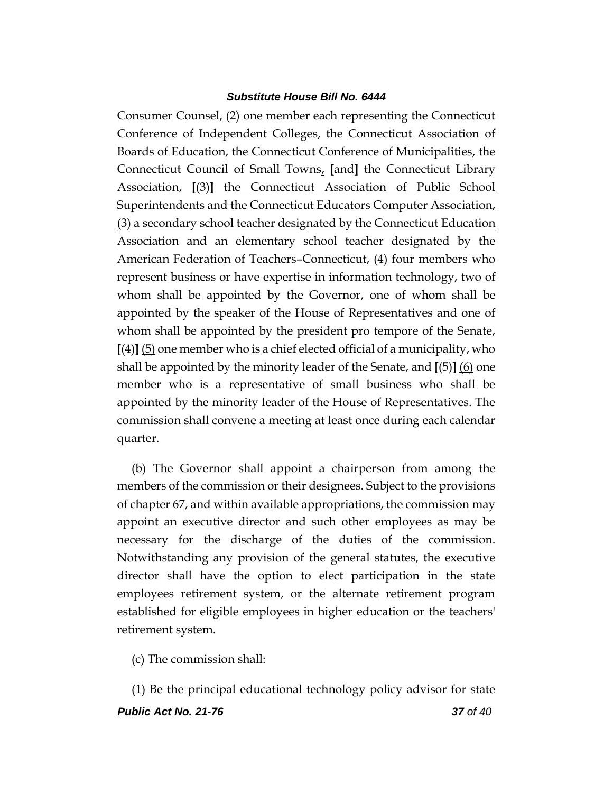Consumer Counsel, (2) one member each representing the Connecticut Conference of Independent Colleges, the Connecticut Association of Boards of Education, the Connecticut Conference of Municipalities, the Connecticut Council of Small Towns, **[**and**]** the Connecticut Library Association, **[**(3)**]** the Connecticut Association of Public School Superintendents and the Connecticut Educators Computer Association, (3) a secondary school teacher designated by the Connecticut Education Association and an elementary school teacher designated by the American Federation of Teachers–Connecticut, (4) four members who represent business or have expertise in information technology, two of whom shall be appointed by the Governor, one of whom shall be appointed by the speaker of the House of Representatives and one of whom shall be appointed by the president pro tempore of the Senate,  $[4]$   $[5]$  one member who is a chief elected official of a municipality, who shall be appointed by the minority leader of the Senate, and **[**(5)**]** (6) one member who is a representative of small business who shall be appointed by the minority leader of the House of Representatives. The commission shall convene a meeting at least once during each calendar quarter.

(b) The Governor shall appoint a chairperson from among the members of the commission or their designees. Subject to the provisions of chapter 67, and within available appropriations, the commission may appoint an executive director and such other employees as may be necessary for the discharge of the duties of the commission. Notwithstanding any provision of the general statutes, the executive director shall have the option to elect participation in the state employees retirement system, or the alternate retirement program established for eligible employees in higher education or the teachers' retirement system.

(c) The commission shall:

*Public Act No. 21-76 37 of 40* (1) Be the principal educational technology policy advisor for state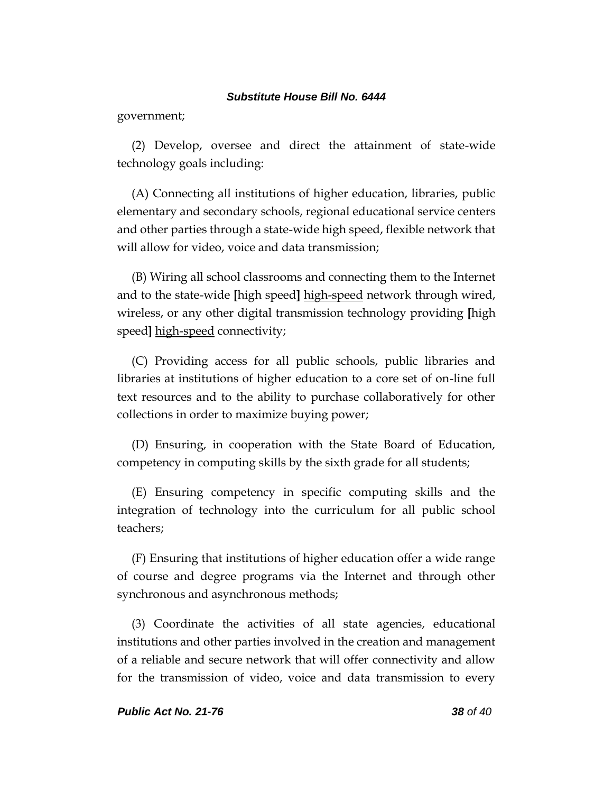government;

(2) Develop, oversee and direct the attainment of state-wide technology goals including:

(A) Connecting all institutions of higher education, libraries, public elementary and secondary schools, regional educational service centers and other parties through a state-wide high speed, flexible network that will allow for video, voice and data transmission;

(B) Wiring all school classrooms and connecting them to the Internet and to the state-wide **[**high speed**]** high-speed network through wired, wireless, or any other digital transmission technology providing **[**high speed**]** high-speed connectivity;

(C) Providing access for all public schools, public libraries and libraries at institutions of higher education to a core set of on-line full text resources and to the ability to purchase collaboratively for other collections in order to maximize buying power;

(D) Ensuring, in cooperation with the State Board of Education, competency in computing skills by the sixth grade for all students;

(E) Ensuring competency in specific computing skills and the integration of technology into the curriculum for all public school teachers;

(F) Ensuring that institutions of higher education offer a wide range of course and degree programs via the Internet and through other synchronous and asynchronous methods;

(3) Coordinate the activities of all state agencies, educational institutions and other parties involved in the creation and management of a reliable and secure network that will offer connectivity and allow for the transmission of video, voice and data transmission to every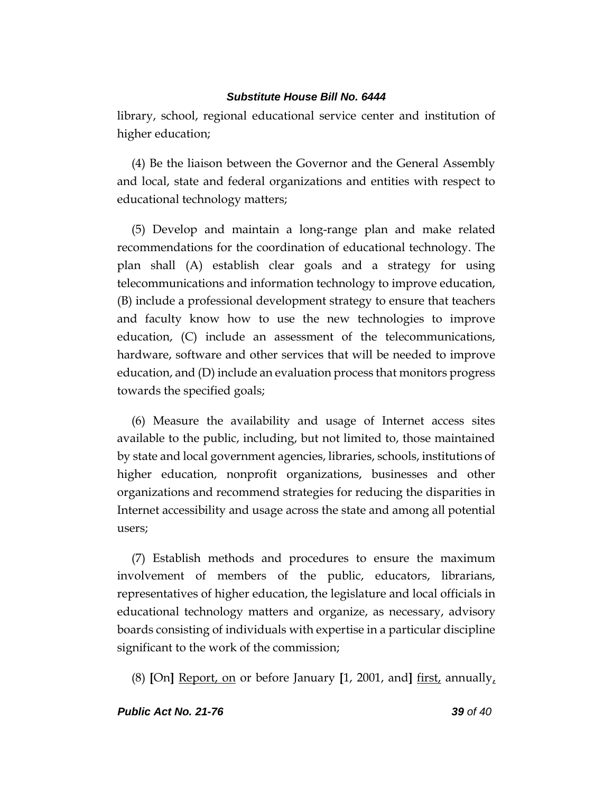library, school, regional educational service center and institution of higher education;

(4) Be the liaison between the Governor and the General Assembly and local, state and federal organizations and entities with respect to educational technology matters;

(5) Develop and maintain a long-range plan and make related recommendations for the coordination of educational technology. The plan shall (A) establish clear goals and a strategy for using telecommunications and information technology to improve education, (B) include a professional development strategy to ensure that teachers and faculty know how to use the new technologies to improve education, (C) include an assessment of the telecommunications, hardware, software and other services that will be needed to improve education, and (D) include an evaluation process that monitors progress towards the specified goals;

(6) Measure the availability and usage of Internet access sites available to the public, including, but not limited to, those maintained by state and local government agencies, libraries, schools, institutions of higher education, nonprofit organizations, businesses and other organizations and recommend strategies for reducing the disparities in Internet accessibility and usage across the state and among all potential users;

(7) Establish methods and procedures to ensure the maximum involvement of members of the public, educators, librarians, representatives of higher education, the legislature and local officials in educational technology matters and organize, as necessary, advisory boards consisting of individuals with expertise in a particular discipline significant to the work of the commission;

(8) **[**On**]** Report, on or before January **[**1, 2001, and**]** first, annually,